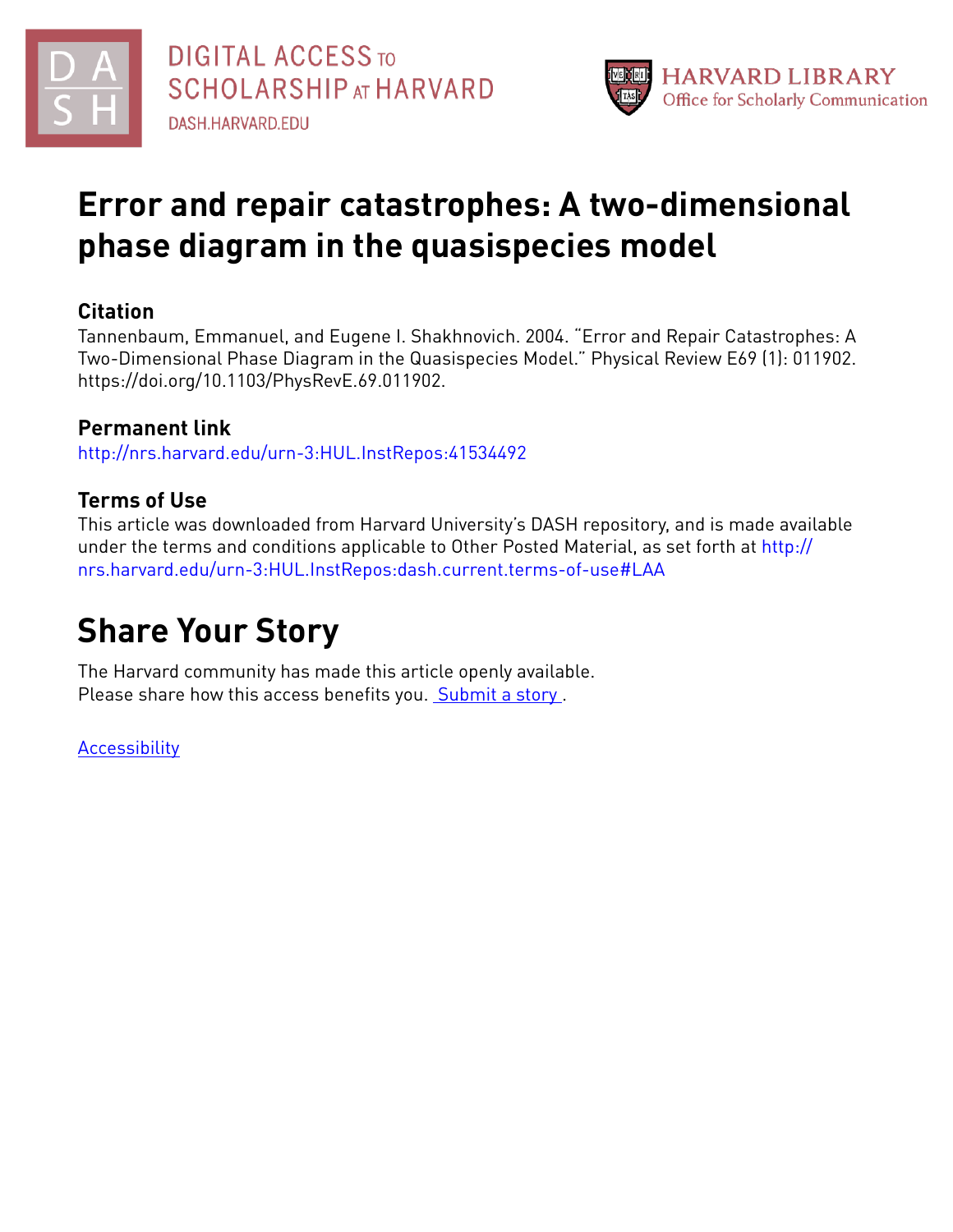



## **Error and repair catastrophes: A two-dimensional phase diagram in the quasispecies model**

### **Citation**

Tannenbaum, Emmanuel, and Eugene I. Shakhnovich. 2004. "Error and Repair Catastrophes: A Two-Dimensional Phase Diagram in the Quasispecies Model." Physical Review E69 (1): 011902. https://doi.org/10.1103/PhysRevE.69.011902.

## **Permanent link**

<http://nrs.harvard.edu/urn-3:HUL.InstRepos:41534492>

## **Terms of Use**

This article was downloaded from Harvard University's DASH repository, and is made available under the terms and conditions applicable to Other Posted Material, as set forth at [http://](http://nrs.harvard.edu/urn-3:HUL.InstRepos:dash.current.terms-of-use#LAA) [nrs.harvard.edu/urn-3:HUL.InstRepos:dash.current.terms-of-use#LAA](http://nrs.harvard.edu/urn-3:HUL.InstRepos:dash.current.terms-of-use#LAA)

# **Share Your Story**

The Harvard community has made this article openly available. Please share how this access benefits you. [Submit](http://osc.hul.harvard.edu/dash/open-access-feedback?handle=&title=Error%20and%20repair%20catastrophes:%20A%20two-dimensional%20phase%20diagram%20in%20the%20quasispecies%20model&community=1/1&collection=1/2&owningCollection1/2&harvardAuthors=40d67870937124de61eb70e886d1e194&department) a story.

[Accessibility](https://dash.harvard.edu/pages/accessibility)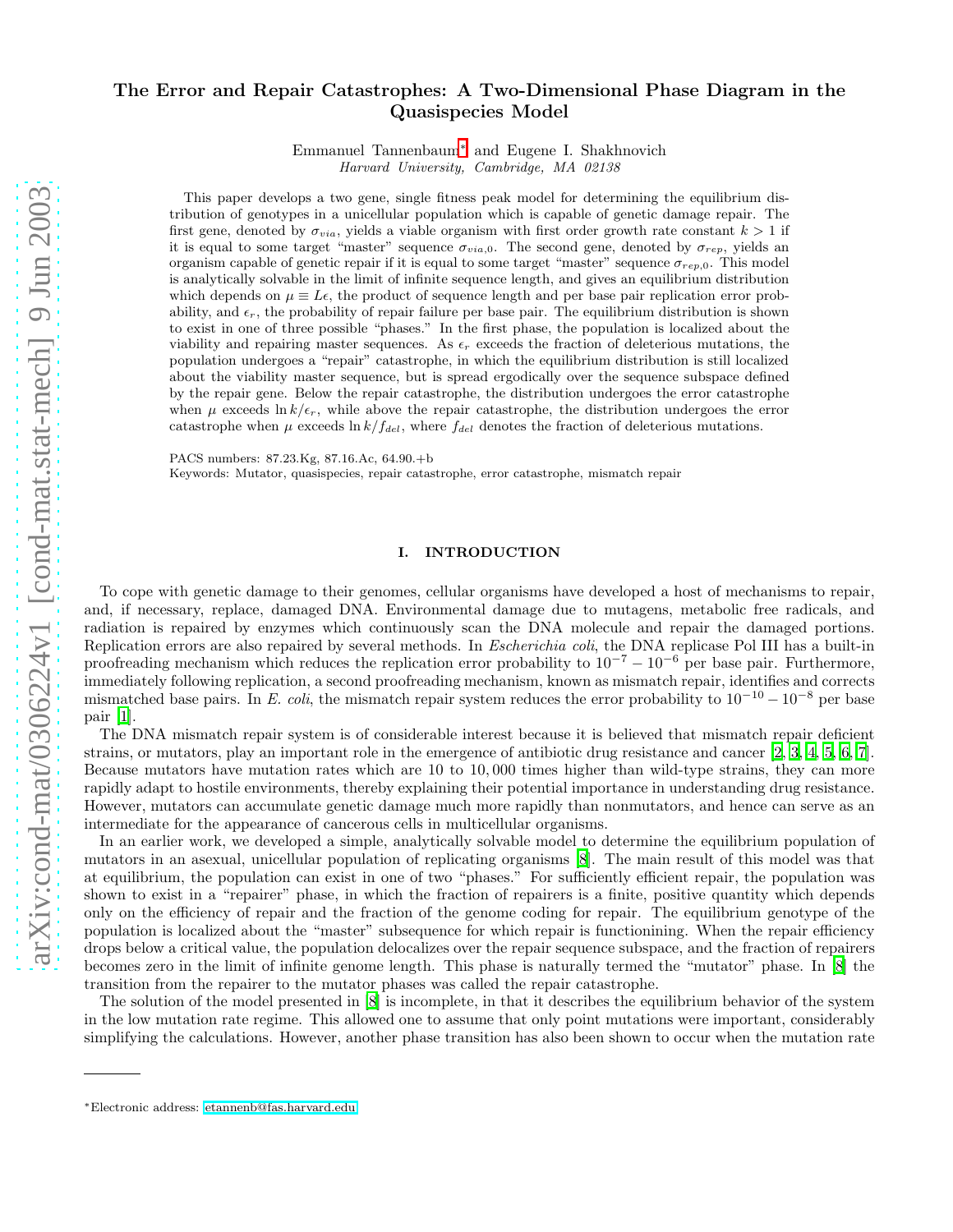### The Error and Repair Catastrophes: A Two-Dimensional Phase Diagram in the Quasispecies Model

Emmanuel Tannenbaum[∗](#page-1-0) and Eugene I. Shakhnovich Harvard University, Cambridge, MA 02138

This paper develops a two gene, single fitness peak model for determining the equilibrium distribution of genotypes in a unicellular population which is capable of genetic damage repair. The first gene, denoted by  $\sigma_{via}$ , yields a viable organism with first order growth rate constant  $k > 1$  if it is equal to some target "master" sequence  $\sigma_{via,0}$ . The second gene, denoted by  $\sigma_{rep}$ , yields an organism capable of genetic repair if it is equal to some target "master" sequence  $\sigma_{rep,0}$ . This model is analytically solvable in the limit of infinite sequence length, and gives an equilibrium distribution which depends on  $\mu \equiv L \epsilon$ , the product of sequence length and per base pair replication error probability, and  $\epsilon_r$ , the probability of repair failure per base pair. The equilibrium distribution is shown to exist in one of three possible "phases." In the first phase, the population is localized about the viability and repairing master sequences. As  $\epsilon_r$  exceeds the fraction of deleterious mutations, the population undergoes a "repair" catastrophe, in which the equilibrium distribution is still localized about the viability master sequence, but is spread ergodically over the sequence subspace defined by the repair gene. Below the repair catastrophe, the distribution undergoes the error catastrophe when  $\mu$  exceeds ln  $k/\epsilon_r$ , while above the repair catastrophe, the distribution undergoes the error catastrophe when  $\mu$  exceeds  $\ln k/f_{del}$ , where  $f_{del}$  denotes the fraction of deleterious mutations.

PACS numbers: 87.23.Kg, 87.16.Ac, 64.90.+b

Keywords: Mutator, quasispecies, repair catastrophe, error catastrophe, mismatch repair

#### I. INTRODUCTION

To cope with genetic damage to their genomes, cellular organisms have developed a host of mechanisms to repair, and, if necessary, replace, damaged DNA. Environmental damage due to mutagens, metabolic free radicals, and radiation is repaired by enzymes which continuously scan the DNA molecule and repair the damaged portions. Replication errors are also repaired by several methods. In Escherichia coli, the DNA replicase Pol III has a built-in proofreading mechanism which reduces the replication error probability to  $10^{-7} - 10^{-6}$  per base pair. Furthermore, immediately following replication, a second proofreading mechanism, known as mismatch repair, identifies and corrects mismatched base pairs. In E. coli, the mismatch repair system reduces the error probability to  $10^{-10} - 10^{-8}$  per base pair [\[1](#page-13-0)].

The DNA mismatch repair system is of considerable interest because it is believed that mismatch repair deficient strains, or mutators, play an important role in the emergence of antibiotic drug resistance and cancer [\[2,](#page-14-0) [3](#page-14-1), [4](#page-14-2), [5,](#page-14-3) [6,](#page-14-4) [7\]](#page-14-5). Because mutators have mutation rates which are 10 to 10, 000 times higher than wild-type strains, they can more rapidly adapt to hostile environments, thereby explaining their potential importance in understanding drug resistance. However, mutators can accumulate genetic damage much more rapidly than nonmutators, and hence can serve as an intermediate for the appearance of cancerous cells in multicellular organisms.

In an earlier work, we developed a simple, analytically solvable model to determine the equilibrium population of mutators in an asexual, unicellular population of replicating organisms [\[8](#page-14-6)]. The main result of this model was that at equilibrium, the population can exist in one of two "phases." For sufficiently efficient repair, the population was shown to exist in a "repairer" phase, in which the fraction of repairers is a finite, positive quantity which depends only on the efficiency of repair and the fraction of the genome coding for repair. The equilibrium genotype of the population is localized about the "master" subsequence for which repair is functionining. When the repair efficiency drops below a critical value, the population delocalizes over the repair sequence subspace, and the fraction of repairers becomes zero in the limit of infinite genome length. This phase is naturally termed the "mutator" phase. In [\[8\]](#page-14-6) the transition from the repairer to the mutator phases was called the repair catastrophe.

The solution of the model presented in [\[8](#page-14-6)] is incomplete, in that it describes the equilibrium behavior of the system in the low mutation rate regime. This allowed one to assume that only point mutations were important, considerably simplifying the calculations. However, another phase transition has also been shown to occur when the mutation rate

<span id="page-1-0"></span><sup>∗</sup>Electronic address: [etannenb@fas.harvard.edu](mailto:etannenb@fas.harvard.edu)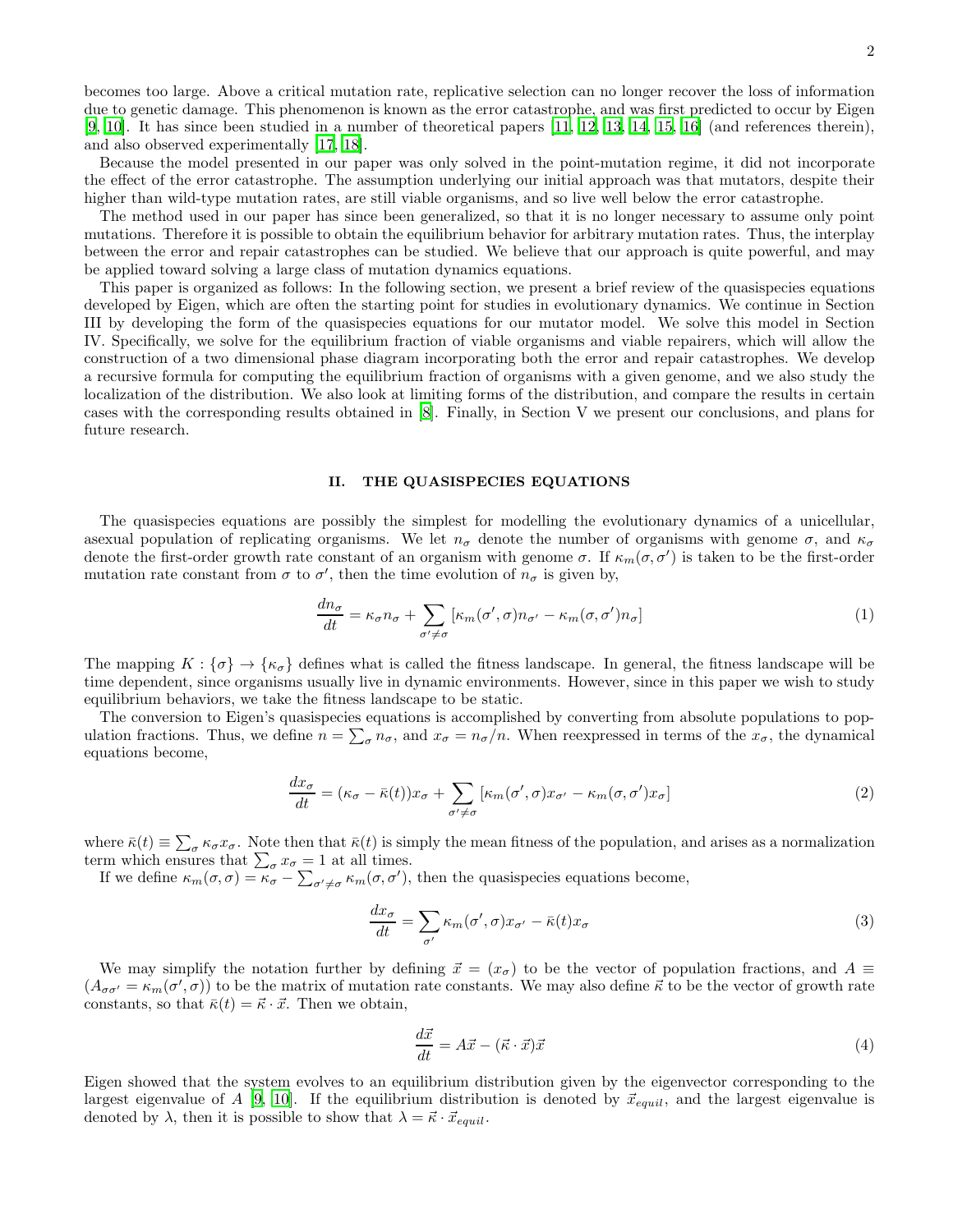becomes too large. Above a critical mutation rate, replicative selection can no longer recover the loss of information due to genetic damage. This phenomenon is known as the error catastrophe, and was first predicted to occur by Eigen [\[9,](#page-14-7) [10](#page-14-8)]. It has since been studied in a number of theoretical papers [\[11](#page-14-9), [12,](#page-14-10) [13](#page-14-11), [14,](#page-14-12) [15](#page-14-13), [16\]](#page-14-14) (and references therein), and also observed experimentally [\[17,](#page-14-15) [18\]](#page-14-16).

Because the model presented in our paper was only solved in the point-mutation regime, it did not incorporate the effect of the error catastrophe. The assumption underlying our initial approach was that mutators, despite their higher than wild-type mutation rates, are still viable organisms, and so live well below the error catastrophe.

The method used in our paper has since been generalized, so that it is no longer necessary to assume only point mutations. Therefore it is possible to obtain the equilibrium behavior for arbitrary mutation rates. Thus, the interplay between the error and repair catastrophes can be studied. We believe that our approach is quite powerful, and may be applied toward solving a large class of mutation dynamics equations.

This paper is organized as follows: In the following section, we present a brief review of the quasispecies equations developed by Eigen, which are often the starting point for studies in evolutionary dynamics. We continue in Section III by developing the form of the quasispecies equations for our mutator model. We solve this model in Section IV. Specifically, we solve for the equilibrium fraction of viable organisms and viable repairers, which will allow the construction of a two dimensional phase diagram incorporating both the error and repair catastrophes. We develop a recursive formula for computing the equilibrium fraction of organisms with a given genome, and we also study the localization of the distribution. We also look at limiting forms of the distribution, and compare the results in certain cases with the corresponding results obtained in [\[8\]](#page-14-6). Finally, in Section V we present our conclusions, and plans for future research.

#### II. THE QUASISPECIES EQUATIONS

The quasispecies equations are possibly the simplest for modelling the evolutionary dynamics of a unicellular, asexual population of replicating organisms. We let  $n_{\sigma}$  denote the number of organisms with genome  $\sigma$ , and  $\kappa_{\sigma}$ denote the first-order growth rate constant of an organism with genome  $\sigma$ . If  $\kappa_m(\sigma, \sigma')$  is taken to be the first-order mutation rate constant from  $\sigma$  to  $\sigma'$ , then the time evolution of  $n_{\sigma}$  is given by,

$$
\frac{dn_{\sigma}}{dt} = \kappa_{\sigma} n_{\sigma} + \sum_{\sigma' \neq \sigma} \left[ \kappa_m(\sigma', \sigma) n_{\sigma'} - \kappa_m(\sigma, \sigma') n_{\sigma} \right] \tag{1}
$$

The mapping  $K : {\{\sigma\}} \to {\kappa_{\sigma}}$  defines what is called the fitness landscape. In general, the fitness landscape will be time dependent, since organisms usually live in dynamic environments. However, since in this paper we wish to study equilibrium behaviors, we take the fitness landscape to be static.

The conversion to Eigen's quasispecies equations is accomplished by converting from absolute populations to population fractions. Thus, we define  $n = \sum_{\sigma} n_{\sigma}$ , and  $x_{\sigma} = n_{\sigma}/n$ . When reexpressed in terms of the  $x_{\sigma}$ , the dynamical equations become,

$$
\frac{dx_{\sigma}}{dt} = (\kappa_{\sigma} - \bar{\kappa}(t))x_{\sigma} + \sum_{\sigma' \neq \sigma} [\kappa_m(\sigma', \sigma)x_{\sigma'} - \kappa_m(\sigma, \sigma')x_{\sigma}] \tag{2}
$$

where  $\bar{\kappa}(t) \equiv \sum_{\sigma} \kappa_{\sigma} x_{\sigma}$ . Note then that  $\bar{\kappa}(t)$  is simply the mean fitness of the population, and arises as a normalization term which ensures that  $\sum_{\sigma} x_{\sigma} = 1$  at all times.

If we define  $\kappa_m(\sigma,\sigma) = \kappa_{\sigma} - \sum_{\sigma' \neq \sigma} \kappa_m(\sigma,\sigma')$ , then the quasispecies equations become,

$$
\frac{dx_{\sigma}}{dt} = \sum_{\sigma'} \kappa_m(\sigma', \sigma) x_{\sigma'} - \bar{\kappa}(t) x_{\sigma}
$$
\n(3)

We may simplify the notation further by defining  $\vec{x} = (x_{\sigma})$  to be the vector of population fractions, and  $A \equiv$  $(A_{\sigma\sigma'} = \kappa_m(\sigma', \sigma))$  to be the matrix of mutation rate constants. We may also define  $\vec{\kappa}$  to be the vector of growth rate constants, so that  $\bar{\kappa}(t) = \vec{\kappa} \cdot \vec{x}$ . Then we obtain,

$$
\frac{d\vec{x}}{dt} = A\vec{x} - (\vec{\kappa} \cdot \vec{x})\vec{x} \tag{4}
$$

Eigen showed that the system evolves to an equilibrium distribution given by the eigenvector corresponding to the largest eigenvalue of A [\[9](#page-14-7), [10\]](#page-14-8). If the equilibrium distribution is denoted by  $\vec{x}_{equil}$ , and the largest eigenvalue is denoted by  $\lambda$ , then it is possible to show that  $\lambda = \vec{\kappa} \cdot \vec{x}_{equil}$ .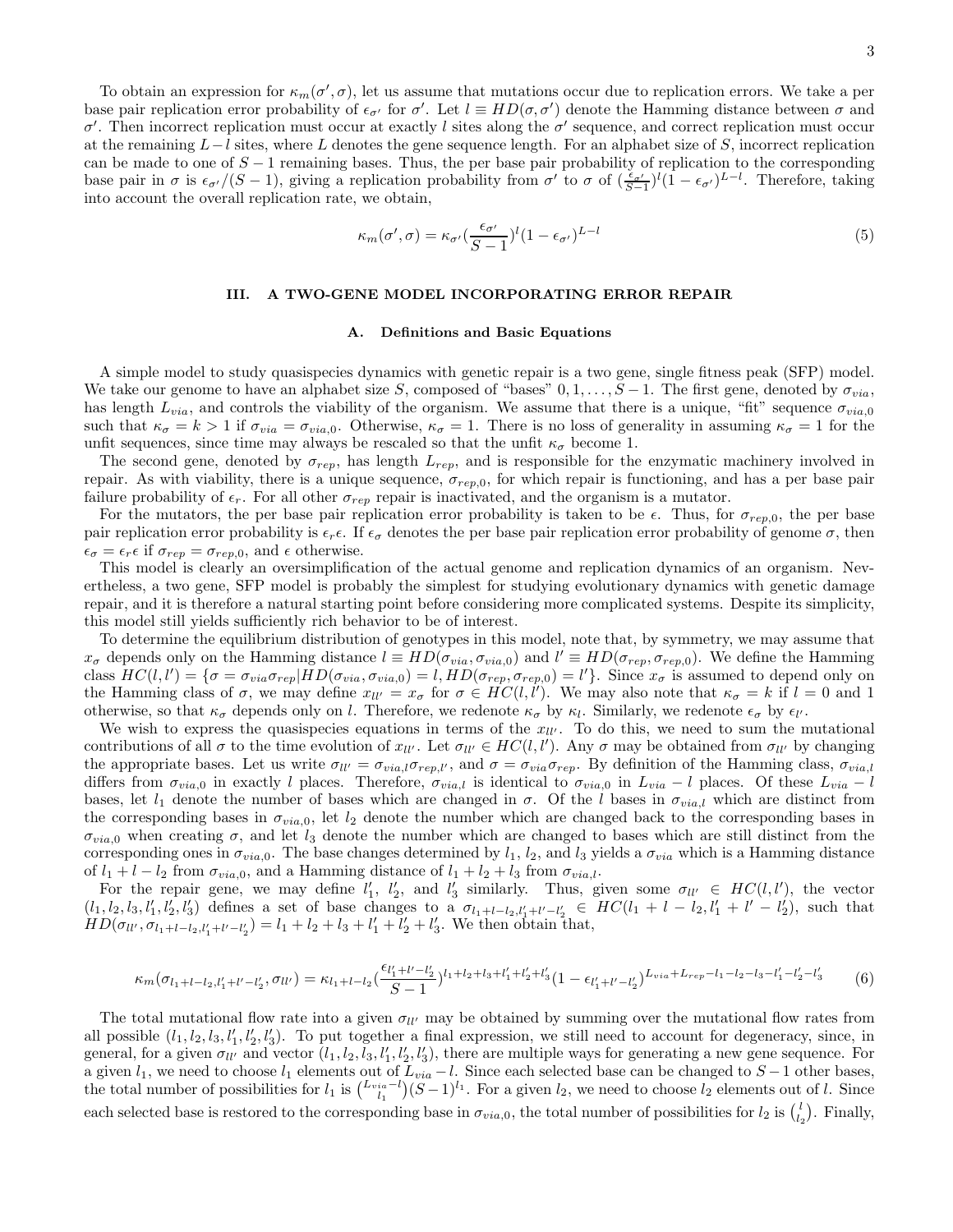To obtain an expression for  $\kappa_m(\sigma', \sigma)$ , let us assume that mutations occur due to replication errors. We take a per base pair replication error probability of  $\epsilon_{\sigma'}$  for  $\sigma'$ . Let  $l \equiv HD(\sigma, \sigma')$  denote the Hamming distance between  $\sigma$  and σ'. Then incorrect replication must occur at exactly l sites along the  $σ'$  sequence, and correct replication must occur at the remaining  $L-l$  sites, where L denotes the gene sequence length. For an alphabet size of S, incorrect replication can be made to one of  $S-1$  remaining bases. Thus, the per base pair probability of replication to the corresponding base pair in  $\sigma$  is  $\epsilon_{\sigma'}/(S-1)$ , giving a replication probability from  $\sigma'$  to  $\sigma$  of  $(\frac{\epsilon_{\sigma'}}{S-1})^l(1-\epsilon_{\sigma'})^{L-l}$ . Therefore, taking into account the overall replication rate, we obtain,

$$
\kappa_m(\sigma', \sigma) = \kappa_{\sigma'} \left(\frac{\epsilon_{\sigma'}}{S-1}\right)^l (1 - \epsilon_{\sigma'})^{L-l}
$$
\n(5)

#### III. A TWO-GENE MODEL INCORPORATING ERROR REPAIR

#### A. Definitions and Basic Equations

A simple model to study quasispecies dynamics with genetic repair is a two gene, single fitness peak (SFP) model. We take our genome to have an alphabet size S, composed of "bases"  $0, 1, \ldots, S-1$ . The first gene, denoted by  $\sigma_{via}$ , has length  $L_{via}$ , and controls the viability of the organism. We assume that there is a unique, "fit" sequence  $\sigma_{via,0}$ such that  $\kappa_{\sigma} = k > 1$  if  $\sigma_{via} = \sigma_{via,0}$ . Otherwise,  $\kappa_{\sigma} = 1$ . There is no loss of generality in assuming  $\kappa_{\sigma} = 1$  for the unfit sequences, since time may always be rescaled so that the unfit  $\kappa_{\sigma}$  become 1.

The second gene, denoted by  $\sigma_{rep}$ , has length  $L_{rep}$ , and is responsible for the enzymatic machinery involved in repair. As with viability, there is a unique sequence,  $\sigma_{rep,0}$ , for which repair is functioning, and has a per base pair failure probability of  $\epsilon_r$ . For all other  $\sigma_{rep}$  repair is inactivated, and the organism is a mutator.

For the mutators, the per base pair replication error probability is taken to be  $\epsilon$ . Thus, for  $\sigma_{ren,0}$ , the per base pair replication error probability is  $\epsilon_r \epsilon$ . If  $\epsilon_{\sigma}$  denotes the per base pair replication error probability of genome  $\sigma$ , then  $\epsilon_{\sigma} = \epsilon_r \epsilon$  if  $\sigma_{rep} = \sigma_{rep,0}$ , and  $\epsilon$  otherwise.

This model is clearly an oversimplification of the actual genome and replication dynamics of an organism. Nevertheless, a two gene, SFP model is probably the simplest for studying evolutionary dynamics with genetic damage repair, and it is therefore a natural starting point before considering more complicated systems. Despite its simplicity, this model still yields sufficiently rich behavior to be of interest.

To determine the equilibrium distribution of genotypes in this model, note that, by symmetry, we may assume that  $x_{\sigma}$  depends only on the Hamming distance  $l \equiv HD(\sigma_{via}, \sigma_{via,0})$  and  $l' \equiv HD(\sigma_{rep}, \sigma_{rep,0})$ . We define the Hamming class  $HC(l, l') = \{\sigma = \sigma_{via}\sigma_{rep} | HD(\sigma_{via}, \sigma_{via, 0}) = l, HD(\sigma_{rep}, \sigma_{rep, 0}) = l'\}.$  Since  $x_{\sigma}$  is assumed to depend only on the Hamming class of  $\sigma$ , we may define  $x_{ll'} = x_{\sigma}$  for  $\sigma \in \hat{HC}(l, l')$ . We may also note that  $\kappa_{\sigma} = k$  if  $l = 0$  and 1 otherwise, so that  $\kappa_{\sigma}$  depends only on l. Therefore, we redenote  $\kappa_{\sigma}$  by  $\kappa_{l}$ . Similarly, we redenote  $\epsilon_{\sigma}$  by  $\epsilon_{l'}$ .

We wish to express the quasispecies equations in terms of the  $x_{ll'}$ . To do this, we need to sum the mutational contributions of all  $\sigma$  to the time evolution of  $x_{ll'}$ . Let  $\sigma_{ll'} \in HC(l, l')$ . Any  $\sigma$  may be obtained from  $\sigma_{ll'}$  by changing the appropriate bases. Let us write  $\sigma_{ll'} = \sigma_{via,l}\sigma_{rep,l'}$ , and  $\sigma = \sigma_{via}\sigma_{rep}$ . By definition of the Hamming class,  $\sigma_{via,l}$ differs from  $\sigma_{via,0}$  in exactly l places. Therefore,  $\sigma_{via,l}$  is identical to  $\sigma_{via,0}$  in  $L_{via} - l$  places. Of these  $L_{via} - l$ bases, let  $l_1$  denote the number of bases which are changed in  $\sigma$ . Of the l bases in  $\sigma_{via,l}$  which are distinct from the corresponding bases in  $\sigma_{via,0}$ , let  $l_2$  denote the number which are changed back to the corresponding bases in  $\sigma_{via,0}$  when creating  $\sigma$ , and let  $l_3$  denote the number which are changed to bases which are still distinct from the corresponding ones in  $\sigma_{via,0}$ . The base changes determined by  $l_1$ ,  $l_2$ , and  $l_3$  yields a  $\sigma_{via}$  which is a Hamming distance of  $l_1 + l - l_2$  from  $\sigma_{via,0}$ , and a Hamming distance of  $l_1 + l_2 + l_3$  from  $\sigma_{via,l}$ .

For the repair gene, we may define  $l'_1, l'_2,$  and  $l'_3$  similarly. Thus, given some  $\sigma_{ll'} \in HC(l, l')$ , the vector  $(l_1, l_2, l_3, l'_1, l'_2, l'_3)$  defines a set of base changes to a  $\sigma_{l_1+l-l_2,l'_1+l'-l'_2} \in HC(l_1 + l - l_2, l'_1 + l' - l'_2)$ , such that  $HD(\sigma_{ll'}, \sigma_{l_1+l-l_2,l'_1+l'-l'_2}) = l_1 + l_2 + l_3 + l'_1 + l'_2 + l'_3$ . We then obtain that,

$$
\kappa_m(\sigma_{l_1+l-l_2,l'_1+l'-l'_2},\sigma_{ll'}) = \kappa_{l_1+l-l_2} \left(\frac{\epsilon_{l'_1+l'-l'_2}}{S-1}\right)^{l_1+l_2+l_3+l'_1+l'_2+l'_3} \left(1 - \epsilon_{l'_1+l'-l'_2}\right)^{L_{via}+L_{rep}-l_1-l_2-l_3-l'_1-l'_2-l'_3} \tag{6}
$$

The total mutational flow rate into a given  $\sigma_{ll'}$  may be obtained by summing over the mutational flow rates from all possible  $(l_1, l_2, l_3, l'_1, l'_2, l'_3)$ . To put together a final expression, we still need to account for degeneracy, since, in general, for a given  $\sigma_{ll'}$  and vector  $(l_1, l_2, l_3, l'_1, l'_2, l'_3)$ , there are multiple ways for generating a new gene sequence. For a given  $l_1$ , we need to choose  $l_1$  elements out of  $L_{via} - l$ . Since each selected base can be changed to  $S - 1$  other bases, the total number of possibilities for  $l_1$  is  $\binom{L_{via}-l}{l_1}(S-1)^{l_1}$ . For a given  $l_2$ , we need to choose  $l_2$  elements out of l. Since each selected base is restored to the corresponding base in  $\sigma_{via,0}$ , the total number of possibilities for  $l_2$  is  $\binom{l}{l_2}$ . Finally,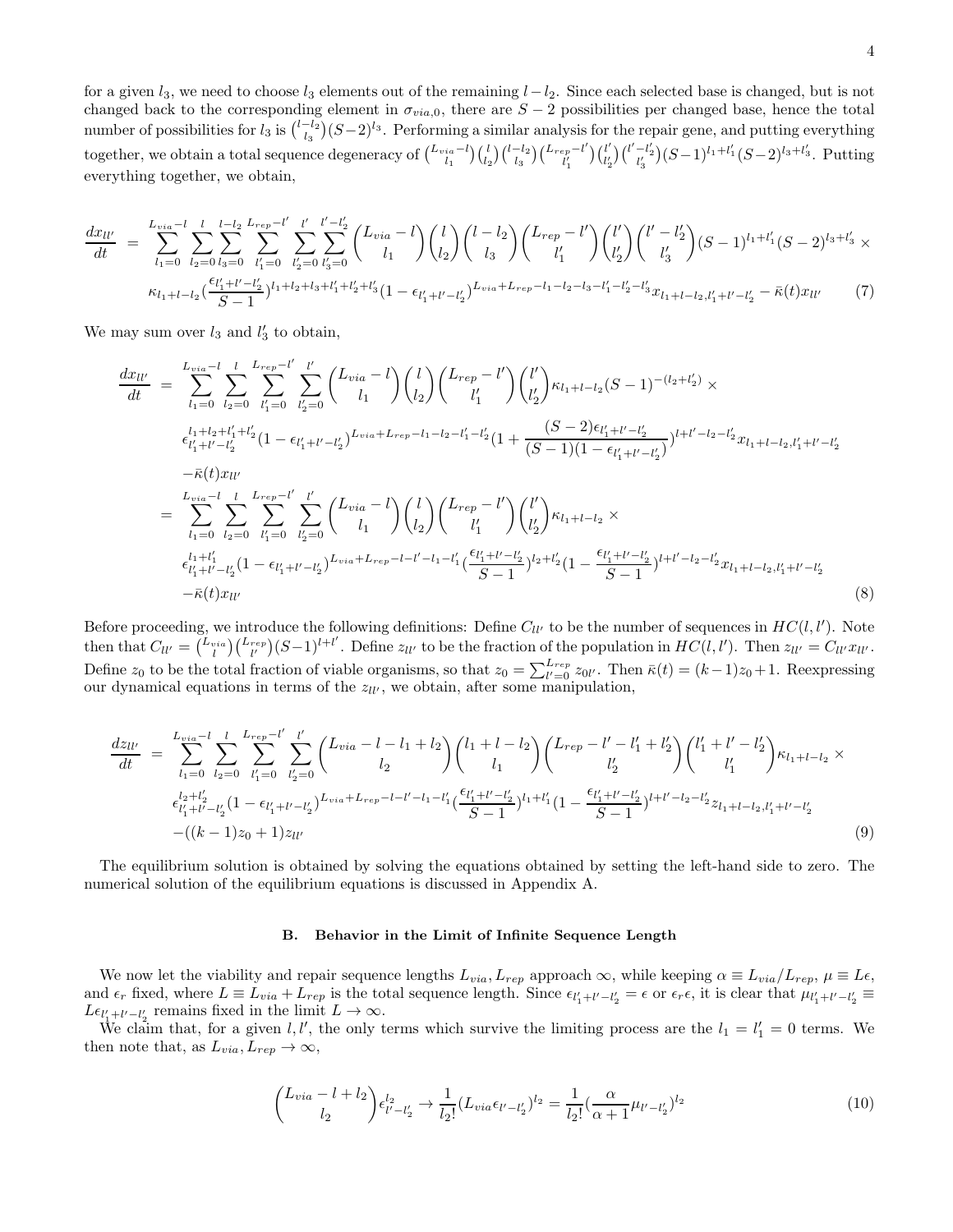for a given  $l_3$ , we need to choose  $l_3$  elements out of the remaining  $l-l_2$ . Since each selected base is changed, but is not changed back to the corresponding element in  $\sigma_{via,0}$ , there are  $S-2$  possibilities per changed base, hence the total number of possibilities for  $l_3$  is  $\binom{l-l_2}{l_3}(S-2)^{l_3}$ . Performing a similar analysis for the repair gene, and putting everything together, we obtain a total sequence degeneracy of  $\binom{L_{via}-l}{l_1}\binom{l}{l_2}\binom{l-l_2}{l_3}\binom{L_{rep}-l'}{l'_1}$  $\begin{pmatrix} l_l' \ l'_1' \end{pmatrix}$  $\binom{l'}{l'_2}\binom{l'-l'_2}{l'_3}(S-1)^{l_1+l'_1}(S-2)^{l_3+l'_3}.$  Putting everything together, we obtain,

$$
\frac{dx_{ll'}}{dt} = \sum_{l_1=0}^{L_{via}-l} \sum_{l_2=0}^{l} \sum_{l_3=0}^{l-l_2} \sum_{l'_1=0}^{L_{rep}-l'} \sum_{l'_2=0}^{l'} \sum_{l'_3=0}^{l'-l'_2} {L_{via}-l \choose l_1} {l \choose l_2} {l-l_2 \choose l_3} {L_{rep}-l' \choose l'_1} {l' \choose l'_2} {l'-l'_2 \choose l'_3} (S-1)^{l_1+l'_1} (S-2)^{l_3+l'_3} \times
$$
\n
$$
\kappa_{l_1+l-l_2} (\frac{\epsilon_{l'_1+l'-l'_2}}{S-1})^{l_1+l_2+l_3+l'_1+l'_2+l'_3} (1 - \epsilon_{l'_1+l'-l'_2})^{L_{via}+L_{rep}-l_1-l_2-l_3-l'_1-l'_2-l'_3} x_{l_1+l-l_2,l'_1+l'-l'_2} - \bar{\kappa}(t) x_{ll'} \tag{7}
$$

We may sum over  $l_3$  and  $l'_3$  to obtain,

$$
\frac{dx_{ll'}}{dt} = \sum_{l_1=0}^{L_{via}-l} \sum_{l_2=0}^{l} \sum_{l'_1=0}^{L_{rep}-l'} \sum_{l'_2=0}^{l'} \binom{L_{via}-l}{l_1} \binom{l}{l_2} \binom{L_{rep}-l'}{l'_1} \binom{l'}{l'_2} \kappa_{l_1+l-l_2}(S-1)^{-(l_2+l'_2)} \times \n\frac{\epsilon_{l'_1+l'+l'_1+l'_2}^{l+l'+l'_2}}{\epsilon_{l'_1+l'-l'_2}^{l+l'-l'_2}} (1 - \epsilon_{l'_1+l'-l'_2})^{L_{via}+L_{rep}-l_1-l_2-l'_1-l'_2} (1 + \frac{(S-2)\epsilon_{l'_1+l'-l'_2}}{(S-1)(1 - \epsilon_{l'_1+l'-l'_2})})^{l+l'-l_2-l'_2} x_{l_1+l-l_2,l'_1+l'-l'_2} \n- \bar{\kappa}(t)x_{ll'} \n= \sum_{l_1=0}^{L_{via}-l} \sum_{l_2=0}^{l} \sum_{l'_1=0}^{L_{rep}-l'} \sum_{l'_2=0}^{l'} \binom{L_{via}-l}{l_1} \binom{l}{l_2} \binom{L_{rep}-l'}{l'_1} \binom{l'}{l'_2} \kappa_{l_1+l-l_2} \times \n\frac{\epsilon_{l'_1+l'-l'_2}^{l+l'+l'}}{\epsilon_{l'_1+l'-l'_2}^{l+l'+l'_2}} (1 - \epsilon_{l'_1+l'-l'_2})^{L_{via}+L_{rep}-l-l'-l'-l_1-l'_1} \frac{\epsilon_{l'_1+l'-l'_2}^{l'+l'-l'_2}}{S-1})^{l_2+l'_2} (1 - \frac{\epsilon_{l'_1+l'-l'_2}^{l'+l'-l'_2}}{S-1})^{l+l'-l_2-l'_2} x_{l_1+l-l_2,l'_1+l'-l'_2} \tag{8}
$$

Before proceeding, we introduce the following definitions: Define  $C_{ll'}$  to be the number of sequences in  $HC(l, l')$ . Note then that  $C_{ll'} = \binom{L_{vis}}{l} \binom{L_{rep}}{l'} (S-1)^{l+l'}$ . Define  $z_{ll'}$  to be the fraction of the population in  $HC(l, l')$ . Then  $z_{ll'} = C_{ll'} x_{ll'}$ . Define  $z_0$  to be the total fraction of viable organisms, so that  $z_0 = \sum_{l'=0}^{L_{rep}} z_{0l'}$ . Then  $\bar{\kappa}(t) = (k-1)z_0 + 1$ . Reexpressing our dynamical equations in terms of the  $z_{ll'}$ , we obtain, after some manipulation,

$$
\frac{dz_{ll'}}{dt} = \sum_{l_1=0}^{L_{via}-l} \sum_{l_2=0}^{l} \sum_{l'_1=0}^{L_{rep}-l'} \sum_{l'_2=0}^{l'} \binom{L_{via}-l-l_1+l_2}{l_2} \binom{l_1+l-l_2}{l_1} \binom{L_{rep}-l'-l'_1+l'_2}{l'_2} \binom{l'_1+l'-l'_2}{l'_1} \kappa_{l_1+l-l_2} \times \n\epsilon_{l'_1+l'-l'_2}^{l_2+l'_2} (1 - \epsilon_{l'_1+l'-l'_2})^{L_{via}+L_{rep}-l-l'-l_1-l'_1} \left(\frac{\epsilon_{l'_1+l'-l'_2}}{S-1}\right)^{l_1+l'_1} (1 - \frac{\epsilon_{l'_1+l'-l'_2}}{S-1})^{l+l'-l_2-l'_2} z_{l_1+l-l_2,l'_1+l'-l'_2} \n-((k-1)z_0+1)z_{ll'} \tag{9}
$$

The equilibrium solution is obtained by solving the equations obtained by setting the left-hand side to zero. The numerical solution of the equilibrium equations is discussed in Appendix A.

#### B. Behavior in the Limit of Infinite Sequence Length

We now let the viability and repair sequence lengths  $L_{via}$ ,  $L_{rep}$  approach  $\infty$ , while keeping  $\alpha \equiv L_{via}/L_{rep}$ ,  $\mu \equiv L\epsilon$ , and  $\epsilon_r$  fixed, where  $L \equiv L_{via} + L_{rep}$  is the total sequence length. Since  $\epsilon_{l'_1+l'-l'_2} = \epsilon$  or  $\epsilon_r \epsilon$ , it is clear that  $\mu_{l'_1+l'-l'_2} \equiv$  $L\epsilon_{l'_1+l'-l'_2}$  remains fixed in the limit  $L\to\infty$ .

We claim that, for a given l, l', the only terms which survive the limiting process are the  $l_1 = l'_1 = 0$  terms. We then note that, as  $L_{via}, L_{rep} \rightarrow \infty$ ,

$$
\begin{pmatrix} L_{via} - l + l_2 \ l_2 & l_{l'-l'_2} \end{pmatrix} \epsilon_{l'-l'_2}^{l_2} \rightarrow \frac{1}{l_2!} (L_{via} \epsilon_{l'-l'_2})^{l_2} = \frac{1}{l_2!} (\frac{\alpha}{\alpha+1} \mu_{l'-l'_2})^{l_2}
$$
(10)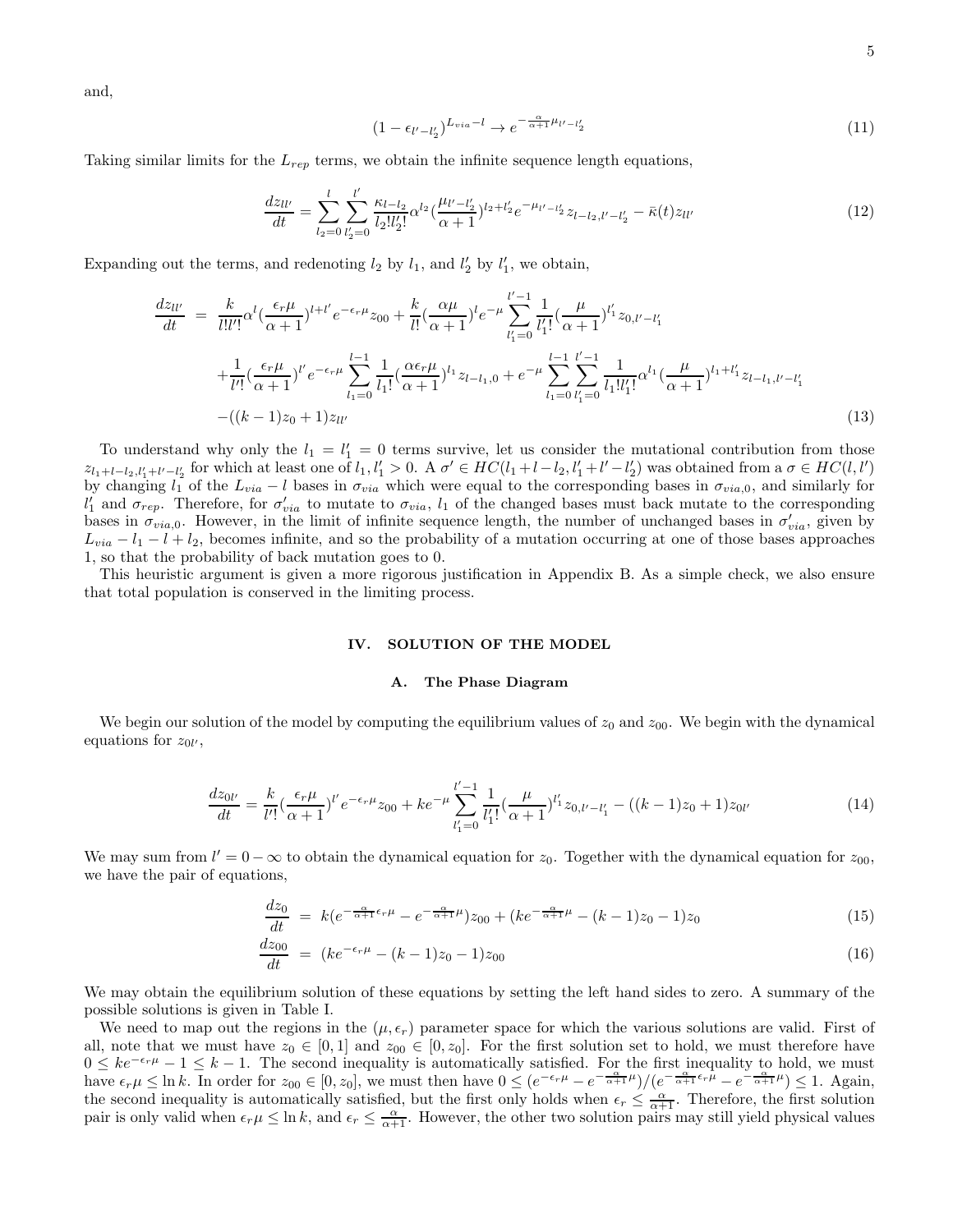and,

$$
(1 - \epsilon_{l'-l'_2})^{L_{via} - l} \to e^{-\frac{\alpha}{\alpha + 1}\mu_{l'-l'_2}} \tag{11}
$$

Taking similar limits for the  $L_{rep}$  terms, we obtain the infinite sequence length equations,

$$
\frac{dz_{ll'}}{dt} = \sum_{l_2=0}^{l} \sum_{l'_2=0}^{l'} \frac{\kappa_{l-l_2}}{l_2! l'_2!} \alpha^{l_2} \left(\frac{\mu_{l'-l'_2}}{\alpha+1}\right)^{l_2+l'_2} e^{-\mu_{l'-l'_2}} z_{l-l_2,l'-l'_2} - \bar{\kappa}(t) z_{ll'}
$$
\n(12)

Expanding out the terms, and redenoting  $l_2$  by  $l_1$ , and  $l'_2$  by  $l'_1$ , we obtain,

$$
\frac{dz_{ll'}}{dt} = \frac{k}{l!l'!} \alpha^l \left(\frac{\epsilon_r \mu}{\alpha+1}\right)^{l+l'} e^{-\epsilon_r \mu} z_{00} + \frac{k}{l!} \left(\frac{\alpha \mu}{\alpha+1}\right)^l e^{-\mu} \sum_{l'_1=0}^{l'-1} \frac{1}{l'_1!} \left(\frac{\mu}{\alpha+1}\right)^{l'_1} z_{0,l'-l'_1} \n+ \frac{1}{l'!} \left(\frac{\epsilon_r \mu}{\alpha+1}\right)^{l'} e^{-\epsilon_r \mu} \sum_{l_1=0}^{l-1} \frac{1}{l_1!} \left(\frac{\alpha \epsilon_r \mu}{\alpha+1}\right)^{l_1} z_{l-l_1,0} + e^{-\mu} \sum_{l_1=0}^{l-1} \sum_{l'_1=0}^{l'-1} \frac{1}{l_1!l'_1!} \alpha^{l_1} \left(\frac{\mu}{\alpha+1}\right)^{l_1+l'_1} z_{l-l_1,l'-l'_1} \n- \left((k-1)z_0+1\right) z_{ll'} \tag{13}
$$

To understand why only the  $l_1 = l'_1 = 0$  terms survive, let us consider the mutational contribution from those  $z_{l_1+l-l_2,l'_1+l'-l'_2}$  for which at least one of  $l_1,l'_1>0$ . A  $\sigma' \in HC(l_1+l-l_2,l'_1+l'-l'_2)$  was obtained from a  $\sigma \in HC(l,l')$ by changing  $l_1$  of the  $L_{via} - l$  bases in  $\sigma_{via}$  which were equal to the corresponding bases in  $\sigma_{via,0}$ , and similarly for  $l'_1$  and  $\sigma_{rep}$ . Therefore, for  $\sigma'_{via}$  to mutate to  $\sigma_{via}$ ,  $l_1$  of the changed bases must back mutate to the corresponding bases in  $\sigma_{via,0}$ . However, in the limit of infinite sequence length, the number of unchanged bases in  $\sigma_{via}$ , given by  $L_{via} - l_1 - l_2$ , becomes infinite, and so the probability of a mutation occurring at one of those bases approaches 1, so that the probability of back mutation goes to 0.

This heuristic argument is given a more rigorous justification in Appendix B. As a simple check, we also ensure that total population is conserved in the limiting process.

#### IV. SOLUTION OF THE MODEL

#### A. The Phase Diagram

We begin our solution of the model by computing the equilibrium values of  $z_0$  and  $z_{00}$ . We begin with the dynamical equations for  $z_{0l}$ ,

$$
\frac{dz_{0l'}}{dt} = \frac{k}{l'!} \left(\frac{\epsilon_r \mu}{\alpha + 1}\right)^{l'} e^{-\epsilon_r \mu} z_{00} + k e^{-\mu} \sum_{l'_1=0}^{l'-1} \frac{1}{l'_1!} \left(\frac{\mu}{\alpha + 1}\right)^{l'_1} z_{0,l'-l'_1} - \left((k-1)z_0 + 1\right) z_{0l'} \tag{14}
$$

We may sum from  $l' = 0 - \infty$  to obtain the dynamical equation for  $z_0$ . Together with the dynamical equation for  $z_{00}$ , we have the pair of equations,

$$
\frac{dz_0}{dt} = k(e^{-\frac{\alpha}{\alpha+1}\epsilon_r\mu} - e^{-\frac{\alpha}{\alpha+1}\mu})z_{00} + (ke^{-\frac{\alpha}{\alpha+1}\mu} - (k-1)z_0 - 1)z_0 \tag{15}
$$

$$
\frac{dz_{00}}{dt} = (ke^{-\epsilon_r \mu} - (k-1)z_0 - 1)z_{00}
$$
\n(16)

We may obtain the equilibrium solution of these equations by setting the left hand sides to zero. A summary of the possible solutions is given in Table I.

We need to map out the regions in the  $(\mu, \epsilon_r)$  parameter space for which the various solutions are valid. First of all, note that we must have  $z_0 \in [0,1]$  and  $z_{00} \in [0,z_0]$ . For the first solution set to hold, we must therefore have  $0 \leq ke^{-\epsilon_r\mu} - 1 \leq k - 1$ . The second inequality is automatically satisfied. For the first inequality to hold, we must have  $\epsilon_r \mu \leq \ln k$ . In order for  $z_{00} \in [0, z_0]$ , we must then have  $0 \leq (e^{-\epsilon_r \mu} - e^{-\frac{\alpha}{\alpha + 1}\mu})/(e^{-\frac{\alpha}{\alpha + 1}\epsilon_r \mu} - e^{-\frac{\alpha}{\alpha + 1}\mu}) \leq 1$ . Again, the second inequality is automatically satisfied, but the first only holds when  $\epsilon_r \leq \frac{\alpha}{\alpha+1}$ . Therefore, the first solution pair is only valid when  $\epsilon_r \mu \leq \ln k$ , and  $\epsilon_r \leq \frac{\alpha}{\alpha+1}$ . However, the other two solution pairs may still yield physical values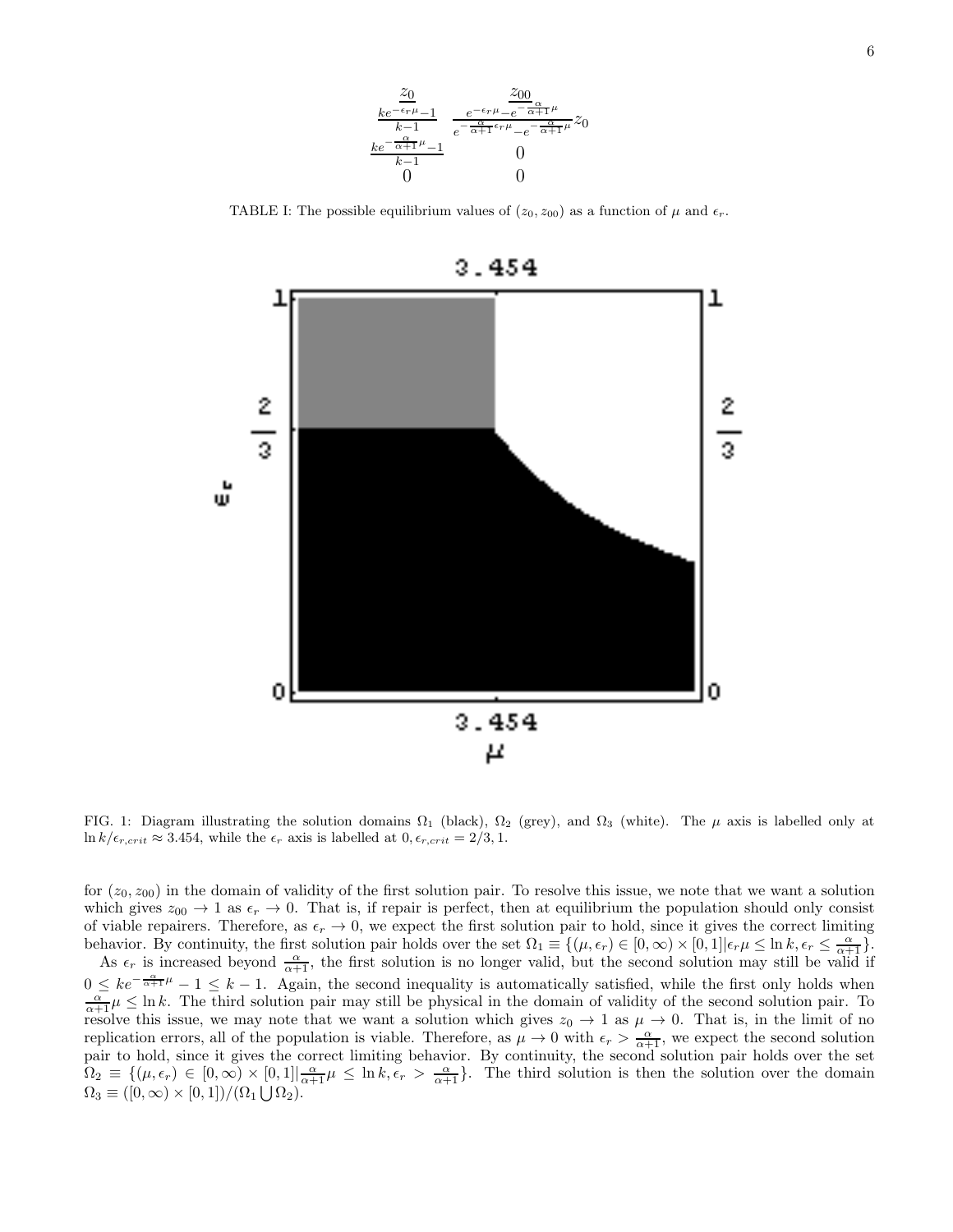

TABLE I: The possible equilibrium values of  $(z_0, z_{00})$  as a function of  $\mu$  and  $\epsilon_r$ .



FIG. 1: Diagram illustrating the solution domains  $\Omega_1$  (black),  $\Omega_2$  (grey), and  $\Omega_3$  (white). The  $\mu$  axis is labelled only at  $\ln k/\epsilon_{r,crit} \approx 3.454$ , while the  $\epsilon_r$  axis is labelled at  $0, \epsilon_{r,crit} = 2/3, 1$ .

for  $(z_0, z_{00})$  in the domain of validity of the first solution pair. To resolve this issue, we note that we want a solution which gives  $z_{00} \to 1$  as  $\epsilon_r \to 0$ . That is, if repair is perfect, then at equilibrium the population should only consist of viable repairers. Therefore, as  $\epsilon_r \to 0$ , we expect the first solution pair to hold, since it gives the correct limiting behavior. By continuity, the first solution pair holds over the set  $\Omega_1 \equiv \{(\mu, \epsilon_r) \in [0, \infty) \times [0, 1] | \epsilon_r \mu \leq \ln k, \epsilon_r \leq \frac{\alpha}{\alpha+1} \}.$ 

As  $\epsilon_r$  is increased beyond  $\frac{\alpha}{\alpha+1}$ , the first solution is no longer valid, but the second solution may still be valid if  $0 \leq ke^{-\frac{\alpha}{\alpha+1}\mu} - 1 \leq k-1$ . Again, the second inequality is automatically satisfied, while the first only holds when  $\frac{\alpha}{\alpha+1}\mu \leq \ln k$ . The third solution pair may still be physical in the domain of validity of the second solution pair. To resolve this issue, we may note that we want a solution which gives  $z_0 \to 1$  as  $\mu \to 0$ . That is, in the limit of no replication errors, all of the population is viable. Therefore, as  $\mu \to 0$  with  $\epsilon_r > \frac{\alpha}{\alpha+1}$ , we expect the second solution pair to hold, since it gives the correct limiting behavior. By continuity, the second solution pair holds over the set  $\Omega_2 \equiv \{(\mu, \epsilon_r) \in [0, \infty) \times [0, 1] | \frac{\alpha}{\alpha + 1} \mu \leq \ln k, \epsilon_r > \frac{\alpha}{\alpha + 1} \}.$  The third solution is then the solution over the domain  $\Omega_3 \equiv ([0, \infty) \times [0, 1]) / (\Omega_1 \bigcup \Omega_2).$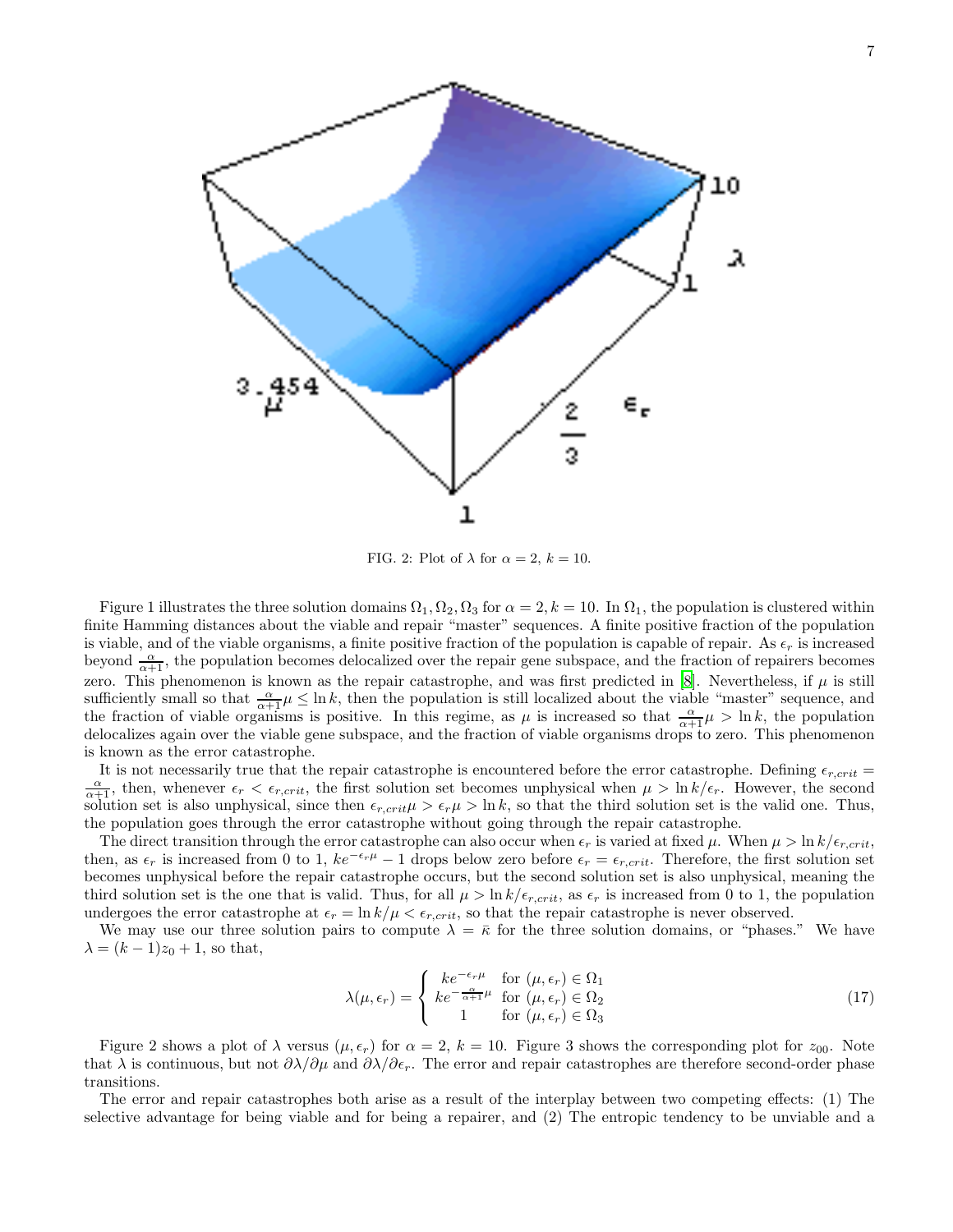

FIG. 2: Plot of  $\lambda$  for  $\alpha = 2, k = 10$ .

Figure 1 illustrates the three solution domains  $\Omega_1, \Omega_2, \Omega_3$  for  $\alpha = 2, k = 10$ . In  $\Omega_1$ , the population is clustered within finite Hamming distances about the viable and repair "master" sequences. A finite positive fraction of the population is viable, and of the viable organisms, a finite positive fraction of the population is capable of repair. As  $\epsilon_r$  is increased beyond  $\frac{\alpha}{\alpha+1}$ , the population becomes delocalized over the repair gene subspace, and the fraction of repairers becomes zero. This phenomenon is known as the repair catastrophe, and was first predicted in [\[8\]](#page-14-6). Nevertheless, if  $\mu$  is still sufficiently small so that  $\frac{\alpha}{\alpha+1}\mu \leq \ln k$ , then the population is still localized about the viable "master" sequence, and the fraction of viable organisms is positive. In this regime, as  $\mu$  is increased so that  $\frac{\alpha}{\alpha+1}\mu > \ln k$ , the population delocalizes again over the viable gene subspace, and the fraction of viable organisms drops to zero. This phenomenon is known as the error catastrophe.

It is not necessarily true that the repair catastrophe is encountered before the error catastrophe. Defining  $\epsilon_{r,crit}$  $\frac{\alpha}{\alpha+1}$ , then, whenever  $\epsilon_r < \epsilon_{r,crit}$ , the first solution set becomes unphysical when  $\mu > \ln k/\epsilon_r$ . However, the second solution set is also unphysical, since then  $\epsilon_{r,crit}\mu > \epsilon_r\mu > \ln k$ , so that the third solution set is the valid one. Thus, the population goes through the error catastrophe without going through the repair catastrophe.

The direct transition through the error catastrophe can also occur when  $\epsilon_r$  is varied at fixed  $\mu$ . When  $\mu > \ln k/\epsilon_{r,crit}$ , then, as  $\epsilon_r$  is increased from 0 to 1,  $ke^{-\epsilon_r\mu} - 1$  drops below zero before  $\epsilon_r = \epsilon_{r,crit}$ . Therefore, the first solution set becomes unphysical before the repair catastrophe occurs, but the second solution set is also unphysical, meaning the third solution set is the one that is valid. Thus, for all  $\mu > \ln k/\epsilon_{r,crit}$ , as  $\epsilon_r$  is increased from 0 to 1, the population undergoes the error catastrophe at  $\epsilon_r = \ln k/\mu < \epsilon_{r,crit}$ , so that the repair catastrophe is never observed.

We may use our three solution pairs to compute  $\lambda = \bar{\kappa}$  for the three solution domains, or "phases." We have  $\lambda = (k-1)z_0 + 1$ , so that,

$$
\lambda(\mu, \epsilon_r) = \begin{cases}\nke^{-\epsilon_r \mu} & \text{for } (\mu, \epsilon_r) \in \Omega_1 \\
ke^{-\frac{\alpha}{\alpha + 1} \mu} & \text{for } (\mu, \epsilon_r) \in \Omega_2 \\
1 & \text{for } (\mu, \epsilon_r) \in \Omega_3\n\end{cases}
$$
\n(17)

Figure 2 shows a plot of  $\lambda$  versus  $(\mu, \epsilon_r)$  for  $\alpha = 2$ ,  $k = 10$ . Figure 3 shows the corresponding plot for  $z_{00}$ . Note that  $\lambda$  is continuous, but not  $\partial \lambda/\partial \mu$  and  $\partial \lambda/\partial \epsilon_r$ . The error and repair catastrophes are therefore second-order phase transitions.

The error and repair catastrophes both arise as a result of the interplay between two competing effects: (1) The selective advantage for being viable and for being a repairer, and (2) The entropic tendency to be unviable and a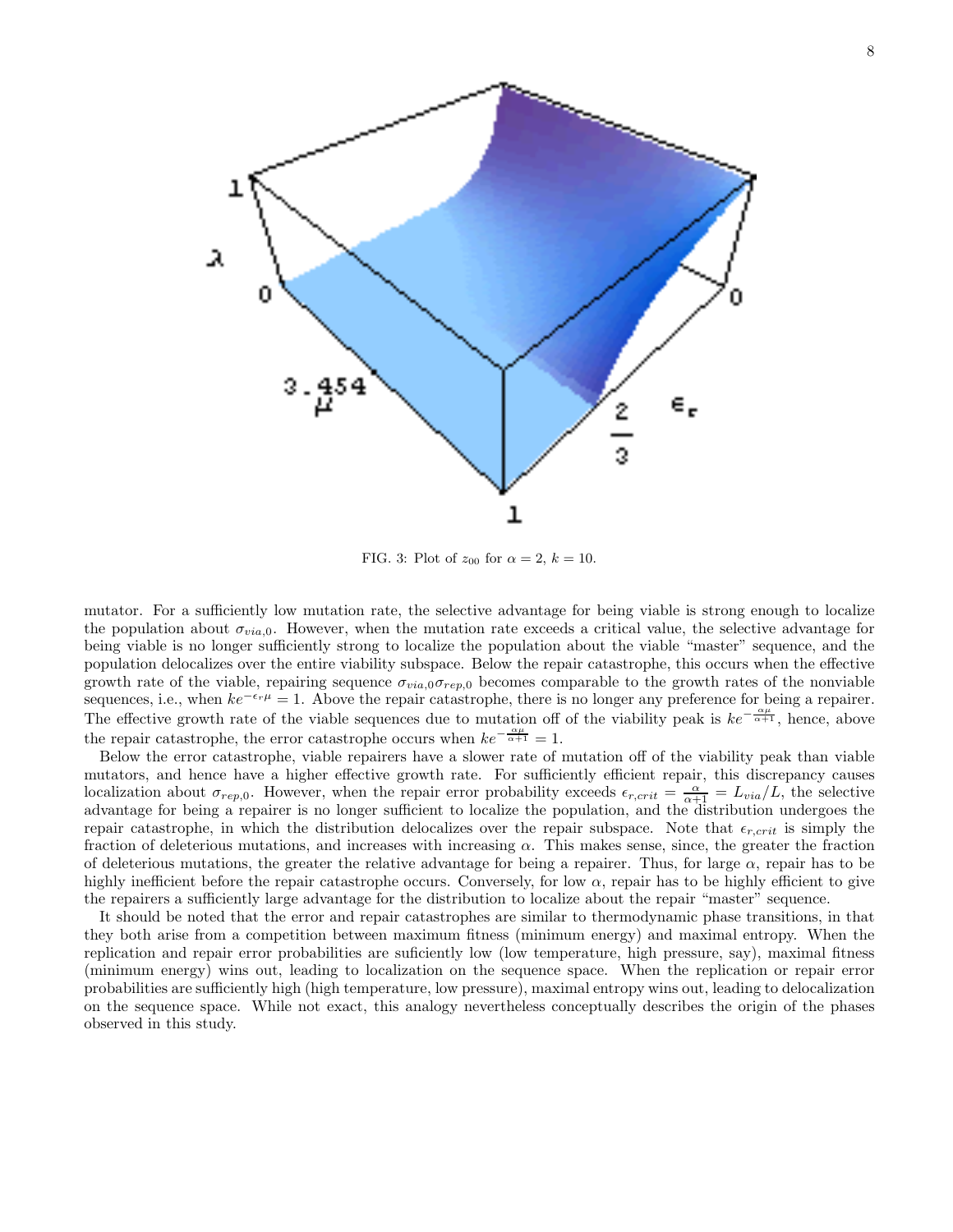

FIG. 3: Plot of  $z_{00}$  for  $\alpha = 2, k = 10$ .

mutator. For a sufficiently low mutation rate, the selective advantage for being viable is strong enough to localize the population about  $\sigma_{via,0}$ . However, when the mutation rate exceeds a critical value, the selective advantage for being viable is no longer sufficiently strong to localize the population about the viable "master" sequence, and the population delocalizes over the entire viability subspace. Below the repair catastrophe, this occurs when the effective growth rate of the viable, repairing sequence  $\sigma_{via,0}\sigma_{rep,0}$  becomes comparable to the growth rates of the nonviable sequences, i.e., when  $ke^{-\epsilon_r\mu} = 1$ . Above the repair catastrophe, there is no longer any preference for being a repairer. The effective growth rate of the viable sequences due to mutation off of the viability peak is  $ke^{-\frac{\alpha\mu}{\alpha+1}}$ , hence, above the repair catastrophe, the error catastrophe occurs when  $ke^{-\frac{\alpha\mu}{\alpha+1}} = 1$ .

Below the error catastrophe, viable repairers have a slower rate of mutation off of the viability peak than viable mutators, and hence have a higher effective growth rate. For sufficiently efficient repair, this discrepancy causes localization about  $\sigma_{rep,0}$ . However, when the repair error probability exceeds  $\epsilon_{r,crit} = \frac{\alpha}{\alpha+1} = L_{via}/L$ , the selective advantage for being a repairer is no longer sufficient to localize the population, and the distribution undergoes the repair catastrophe, in which the distribution delocalizes over the repair subspace. Note that  $\epsilon_{r,crit}$  is simply the fraction of deleterious mutations, and increases with increasing  $\alpha$ . This makes sense, since, the greater the fraction of deleterious mutations, the greater the relative advantage for being a repairer. Thus, for large  $\alpha$ , repair has to be highly inefficient before the repair catastrophe occurs. Conversely, for low  $\alpha$ , repair has to be highly efficient to give the repairers a sufficiently large advantage for the distribution to localize about the repair "master" sequence.

It should be noted that the error and repair catastrophes are similar to thermodynamic phase transitions, in that they both arise from a competition between maximum fitness (minimum energy) and maximal entropy. When the replication and repair error probabilities are suficiently low (low temperature, high pressure, say), maximal fitness (minimum energy) wins out, leading to localization on the sequence space. When the replication or repair error probabilities are sufficiently high (high temperature, low pressure), maximal entropy wins out, leading to delocalization on the sequence space. While not exact, this analogy nevertheless conceptually describes the origin of the phases observed in this study.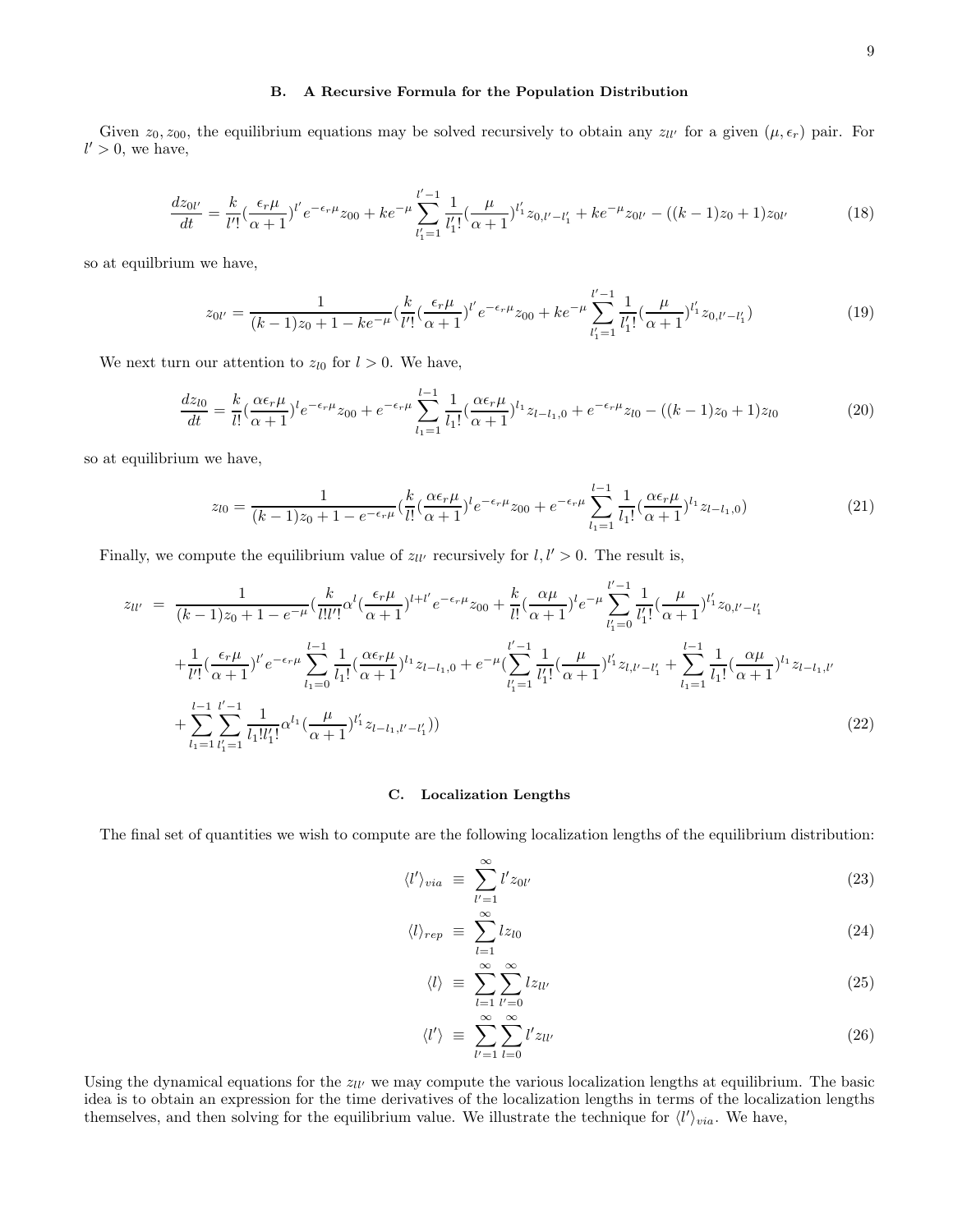#### B. A Recursive Formula for the Population Distribution

Given  $z_0, z_{00}$ , the equilibrium equations may be solved recursively to obtain any  $z_{ll'}$  for a given  $(\mu, \epsilon_r)$  pair. For  $l' > 0$ , we have,

$$
\frac{dz_{0l'}}{dt} = \frac{k}{l'!} \left(\frac{\epsilon_r \mu}{\alpha + 1}\right)^{l'} e^{-\epsilon_r \mu} z_{00} + k e^{-\mu} \sum_{l'_1=1}^{l'-1} \frac{1}{l'_1!} \left(\frac{\mu}{\alpha + 1}\right)^{l'_1} z_{0,l'-l'_1} + k e^{-\mu} z_{0l'} - \left((k-1)z_0 + 1\right) z_{0l'} \tag{18}
$$

so at equilbrium we have,

$$
z_{0l'} = \frac{1}{(k-1)z_0 + 1 - ke^{-\mu}} \left(\frac{k}{l'}\left(\frac{\epsilon_r \mu}{\alpha + 1}\right)^{l'} e^{-\epsilon_r \mu} z_{00} + ke^{-\mu} \sum_{l'_1=1}^{l'-1} \frac{1}{l'_1!} \left(\frac{\mu}{\alpha + 1}\right)^{l'_1} z_{0,l'-l'_1}\right) \tag{19}
$$

We next turn our attention to  $z_{l0}$  for  $l > 0$ . We have,

$$
\frac{dz_{l0}}{dt} = \frac{k}{l!} \left(\frac{\alpha \epsilon_r \mu}{\alpha + 1}\right)^l e^{-\epsilon_r \mu} z_{00} + e^{-\epsilon_r \mu} \sum_{l_1=1}^{l-1} \frac{1}{l_1!} \left(\frac{\alpha \epsilon_r \mu}{\alpha + 1}\right)^{l_1} z_{l-l_1,0} + e^{-\epsilon_r \mu} z_{l0} - \left((k-1)z_0 + 1\right) z_{l0} \tag{20}
$$

so at equilibrium we have,

$$
z_{l0} = \frac{1}{(k-1)z_0 + 1 - e^{-\epsilon_r \mu}} \left(\frac{k}{l!} \left(\frac{\alpha \epsilon_r \mu}{\alpha + 1}\right)^l e^{-\epsilon_r \mu} z_{00} + e^{-\epsilon_r \mu} \sum_{l_1=1}^{l-1} \frac{1}{l_1!} \left(\frac{\alpha \epsilon_r \mu}{\alpha + 1}\right)^{l_1} z_{l-l_1,0}\right) \tag{21}
$$

Finally, we compute the equilibrium value of  $z_{ll'}$  recursively for  $l, l' > 0$ . The result is,

$$
z_{ll'} = \frac{1}{(k-1)z_0 + 1 - e^{-\mu}} \left( \frac{k}{l!l'} \alpha^l \left( \frac{\epsilon_r \mu}{\alpha + 1} \right)^{l+l'} e^{-\epsilon_r \mu} z_{00} + \frac{k}{l!} \left( \frac{\alpha \mu}{\alpha + 1} \right)^l e^{-\mu} \sum_{l'_1=0}^{l'-1} \frac{1}{l'_1!} \left( \frac{\mu}{\alpha + 1} \right)^{l'_1} z_{0,l'-l'_1} + \frac{1}{l'!} \left( \frac{\epsilon_r \mu}{\alpha + 1} \right)^{l'} e^{-\epsilon_r \mu} \sum_{l_1=0}^{l-1} \frac{1}{l_1!} \left( \frac{\alpha \epsilon_r \mu}{\alpha + 1} \right)^{l_1} z_{l-l_1,0} + e^{-\mu} \left( \sum_{l'_1=1}^{l'-1} \frac{1}{l'_1!} \left( \frac{\mu}{\alpha + 1} \right)^{l'_1} z_{l,l'-l'_1} + \sum_{l_1=1}^{l-1} \frac{1}{l_1!} \left( \frac{\alpha \mu}{\alpha + 1} \right)^{l_1} z_{l-l_1,l'} + \sum_{l_1=1}^{l-1} \frac{1}{l_1!} \left( \frac{\mu}{\alpha + 1} \right)^{l'_1} z_{l-l_1,l'} \right)
$$
\n
$$
+ \sum_{l_1=1}^{l-1} \sum_{l'_1=1}^{l'-1} \frac{1}{l_1! l'_1!} \alpha^{l_1} \left( \frac{\mu}{\alpha + 1} \right)^{l'_1} z_{l-l_1,l'-l'_1})
$$
\n
$$
(22)
$$

#### C. Localization Lengths

The final set of quantities we wish to compute are the following localization lengths of the equilibrium distribution:

$$
\langle l' \rangle_{via} \equiv \sum_{l'=1}^{\infty} l' z_{0l'} \tag{23}
$$

$$
\langle l \rangle_{rep} \equiv \sum_{l=1}^{\infty} l z_{l0} \tag{24}
$$

$$
\langle l \rangle \equiv \sum_{l=1}^{\infty} \sum_{l'=0}^{\infty} l z_{ll'} \tag{25}
$$

$$
\langle l' \rangle \equiv \sum_{l'=1}^{\infty} \sum_{l=0}^{\infty} l' z_{ll'} \tag{26}
$$

Using the dynamical equations for the  $z_{ll'}$  we may compute the various localization lengths at equilibrium. The basic idea is to obtain an expression for the time derivatives of the localization lengths in terms of the localization lengths themselves, and then solving for the equilibrium value. We illustrate the technique for  $\langle l' \rangle_{via}$ . We have,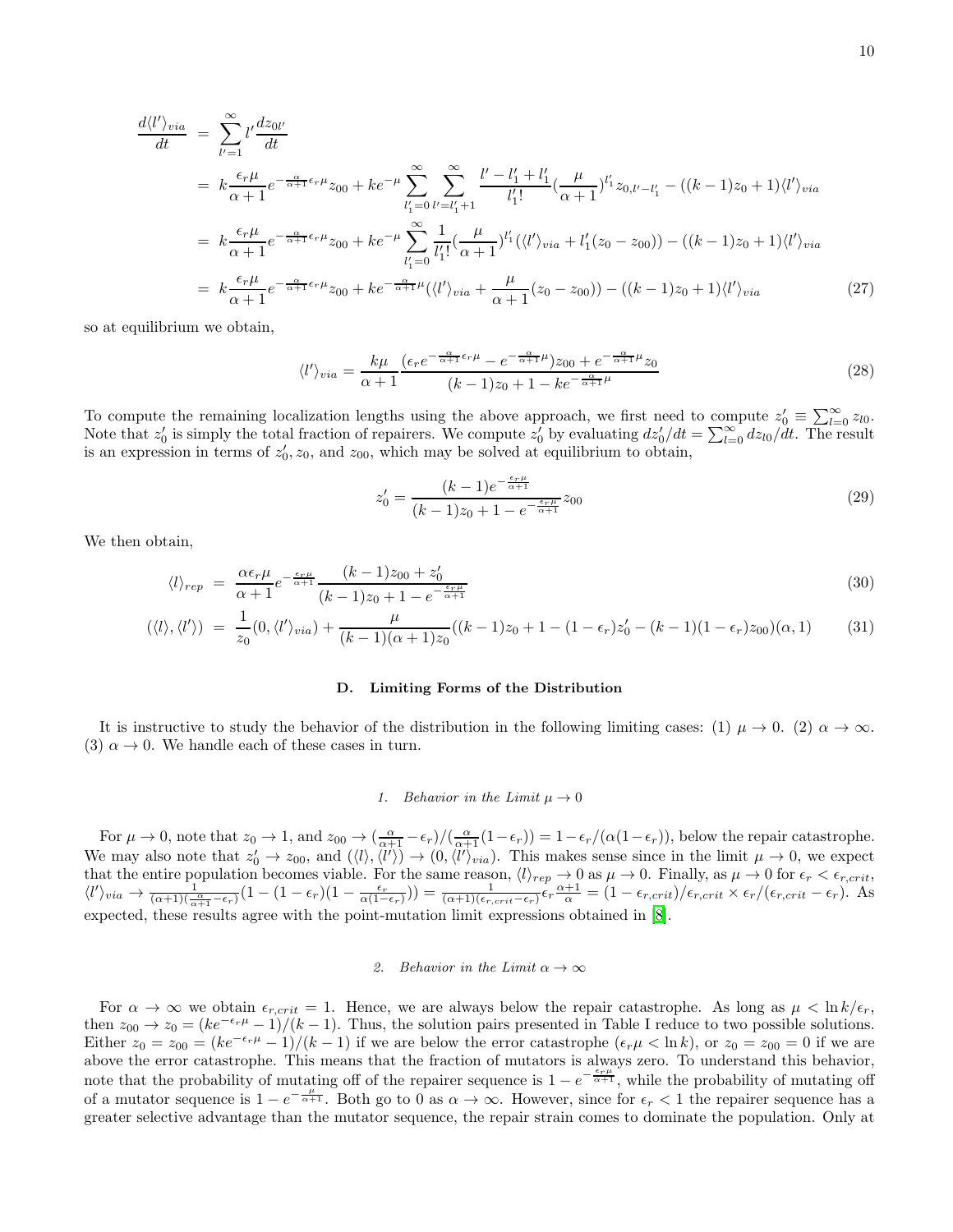$$
\frac{d\langle l'\rangle_{via}}{dt} = \sum_{l'=1}^{\infty} l' \frac{dz_{0l'}}{dt}
$$
\n
$$
= k \frac{\epsilon_r \mu}{\alpha + 1} e^{-\frac{\alpha}{\alpha + 1} \epsilon_r \mu} z_{00} + k e^{-\mu} \sum_{l'_1=0}^{\infty} \sum_{l'=l'_1+1}^{\infty} \frac{l'-l'_1 + l'_1}{l'_1!} (\frac{\mu}{\alpha + 1})^{l'_1} z_{0,l'-l'_1} - ((k-1)z_0 + 1)\langle l'\rangle_{via}
$$
\n
$$
= k \frac{\epsilon_r \mu}{\alpha + 1} e^{-\frac{\alpha}{\alpha + 1} \epsilon_r \mu} z_{00} + k e^{-\mu} \sum_{l'_1=0}^{\infty} \frac{1}{l'_1!} (\frac{\mu}{\alpha + 1})^{l'_1} (\langle l'\rangle_{via} + l'_1(z_0 - z_{00})) - ((k-1)z_0 + 1)\langle l'\rangle_{via}
$$
\n
$$
= k \frac{\epsilon_r \mu}{\alpha + 1} e^{-\frac{\alpha}{\alpha + 1} \epsilon_r \mu} z_{00} + k e^{-\frac{\alpha}{\alpha + 1} \mu} (\langle l'\rangle_{via} + \frac{\mu}{\alpha + 1} (z_0 - z_{00})) - ((k-1)z_0 + 1)\langle l'\rangle_{via} \tag{27}
$$

so at equilibrium we obtain,

$$
\langle l' \rangle_{via} = \frac{k\mu}{\alpha + 1} \frac{(\epsilon_r e^{-\frac{\alpha}{\alpha + 1}\epsilon_r \mu} - e^{-\frac{\alpha}{\alpha + 1}\mu})z_{00} + e^{-\frac{\alpha}{\alpha + 1}\mu}z_0}{(k - 1)z_0 + 1 - ke^{-\frac{\alpha}{\alpha + 1}\mu}}
$$
(28)

To compute the remaining localization lengths using the above approach, we first need to compute  $z'_0 \equiv \sum_{l=0}^{\infty} z_{l0}$ . Note that  $z'_0$  is simply the total fraction of repairers. We compute  $z'_0$  by evaluating  $dz'_0/dt = \sum_{l=0}^{\infty} dz_{l0}/dt$ . The result is an expression in terms of  $z'_0$ ,  $z_0$ , and  $z_{00}$ , which may be solved at equilibrium to obtain,

$$
z_0' = \frac{(k-1)e^{-\frac{\epsilon_r \mu}{\alpha+1}}}{(k-1)z_0 + 1 - e^{-\frac{\epsilon_r \mu}{\alpha+1}}} z_{00}
$$
\n(29)

We then obtain,

$$
\langle l \rangle_{rep} = \frac{\alpha \epsilon_r \mu}{\alpha + 1} e^{-\frac{\epsilon_r \mu}{\alpha + 1}} \frac{(k - 1)z_{00} + z'_0}{(k - 1)z_0 + 1 - e^{-\frac{\epsilon_r \mu}{\alpha + 1}}} \tag{30}
$$

$$
(\langle l \rangle, \langle l' \rangle) = \frac{1}{z_0} (0, \langle l' \rangle_{via}) + \frac{\mu}{(k-1)(\alpha+1)z_0} ((k-1)z_0 + 1 - (1-\epsilon_r)z_0' - (k-1)(1-\epsilon_r)z_{00})(\alpha, 1) \tag{31}
$$

#### D. Limiting Forms of the Distribution

It is instructive to study the behavior of the distribution in the following limiting cases: (1)  $\mu \to 0$ . (2)  $\alpha \to \infty$ . (3)  $\alpha \rightarrow 0$ . We handle each of these cases in turn.

#### 1. Behavior in the Limit  $\mu \to 0$

For  $\mu \to 0$ , note that  $z_0 \to 1$ , and  $z_{00} \to \left(\frac{\alpha}{\alpha+1} - \epsilon_r\right) / \left(\frac{\alpha}{\alpha+1}(1-\epsilon_r)\right) = 1 - \epsilon_r / (\alpha(1-\epsilon_r))$ , below the repair catastrophe. We may also note that  $z'_0 \to z_{00}$ , and  $(\langle l \rangle, \langle l' \rangle) \to (0, \langle l' \rangle_{via})$ . This makes sense since in the limit  $\mu \to 0$ , we expect that the entire population becomes viable. For the same reason,  $\langle l \rangle_{rep} \to 0$  as  $\mu \to 0$ . Finally, as  $\mu \to 0$  for  $\epsilon_r < \epsilon_{r,crit}$ ,  $\langle l' \rangle_{via} \rightarrow \frac{1}{(\alpha+1)(\frac{\alpha}{\alpha+1}-\epsilon_r)}(1-(1-\epsilon_r)(1-\frac{\epsilon_r}{\alpha(1-\epsilon_r)})) = \frac{1}{(\alpha+1)(\epsilon_{r,crit}-\epsilon_r)}\epsilon_r \frac{\alpha+1}{\alpha} = (1-\epsilon_{r,crit})/\epsilon_{r,crit} \times \epsilon_r/(\epsilon_{r,crit}-\epsilon_r).$ expected, these results agree with the point-mutation limit expressions obtained in [\[8](#page-14-6)].

#### 2. Behavior in the Limit  $\alpha \to \infty$

For  $\alpha \to \infty$  we obtain  $\epsilon_{r,crit} = 1$ . Hence, we are always below the repair catastrophe. As long as  $\mu < \ln k/\epsilon_r$ , then  $z_{00} \to z_0 = (ke^{-\epsilon_r \mu} - 1)/(k - 1)$ . Thus, the solution pairs presented in Table I reduce to two possible solutions. Either  $z_0 = z_{00} = (ke^{-\epsilon_r \mu} - 1)/(k - 1)$  if we are below the error catastrophe  $(\epsilon_r \mu < \ln k)$ , or  $z_0 = z_{00} = 0$  if we are above the error catastrophe. This means that the fraction of mutators is always zero. To understand this behavior, note that the probability of mutating off of the repairer sequence is  $1 - e^{-\frac{\epsilon_r \mu}{\alpha+1}}$ , while the probability of mutating off of a mutator sequence is  $1 - e^{-\frac{\mu}{\alpha+1}}$ . Both go to 0 as  $\alpha \to \infty$ . However, since for  $\epsilon_r < 1$  the repairer sequence has a greater selective advantage than the mutator sequence, the repair strain comes to dominate the population. Only at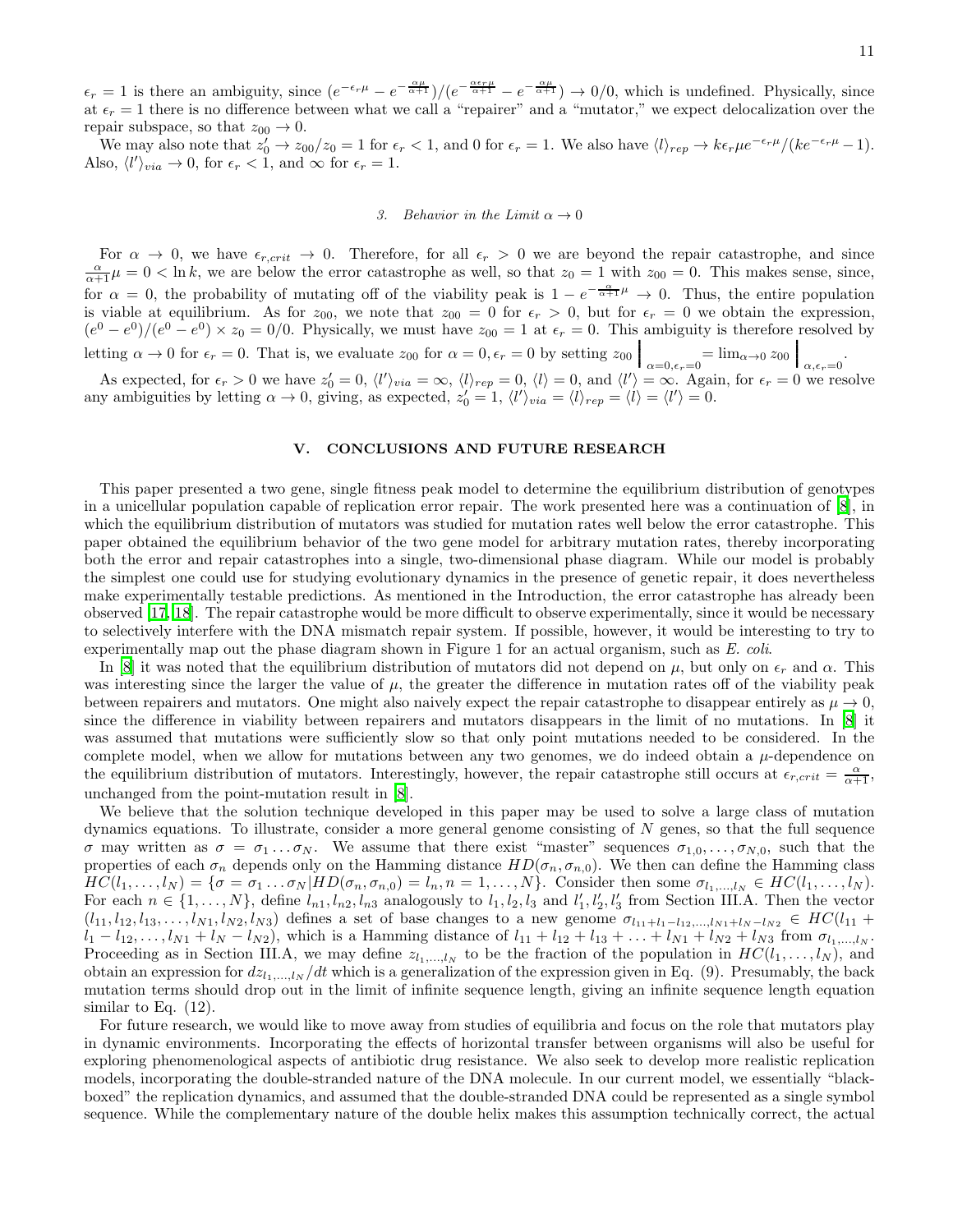$\epsilon_r = 1$  is there an ambiguity, since  $(e^{-\epsilon_r \mu} - e^{-\frac{\alpha \mu}{\alpha + 1}})/(e^{-\frac{\alpha \epsilon_r \mu}{\alpha + 1}} - e^{-\frac{\alpha \mu}{\alpha + 1}}) \rightarrow 0/0$ , which is undefined. Physically, since at  $\epsilon_r = 1$  there is no difference between what we call a "repairer" and a "mutator," we expect delocalization over the repair subspace, so that  $z_{00} \rightarrow 0$ .

We may also note that  $z'_0 \to z_{00}/z_0 = 1$  for  $\epsilon_r < 1$ , and 0 for  $\epsilon_r = 1$ . We also have  $\langle l \rangle_{rep} \to k \epsilon_r \mu e^{-\epsilon_r \mu} / (k e^{-\epsilon_r \mu} - 1)$ . Also,  $\langle l' \rangle_{via} \to 0$ , for  $\epsilon_r < 1$ , and  $\infty$  for  $\epsilon_r = 1$ .

#### 3. Behavior in the Limit  $\alpha \to 0$

For  $\alpha \to 0$ , we have  $\epsilon_{r,crit} \to 0$ . Therefore, for all  $\epsilon_r > 0$  we are beyond the repair catastrophe, and since  $\frac{\alpha}{\alpha+1}\mu = 0 < \ln k$ , we are below the error catastrophe as well, so that  $z_0 = 1$  with  $z_{00} = 0$ . This mak for  $\alpha = 0$ , the probability of mutating off of the viability peak is  $1 - e^{-\frac{\alpha}{\alpha+1}\mu} \to 0$ . Thus, the entire population is viable at equilibrium. As for  $z_{00}$ , we note that  $z_{00} = 0$  for  $\epsilon_r > 0$ , but for  $\epsilon_r = 0$  we obtain the expression,  $(e^{0}-e^{0})/(e^{0}-e^{0})\times z_{0}=0/0$ . Physically, we must have  $z_{00}=1$  at  $\epsilon_{r}=0$ . This ambiguity is therefore resolved by letting  $\alpha \to 0$  for  $\epsilon_r = 0$ . That is, we evaluate  $z_{00}$  for  $\alpha = 0, \epsilon_r = 0$  by setting  $z_{00} \Big|_{\alpha=0, \epsilon_r=0} = \lim_{\alpha \to 0} z_{00} \Big|_{\alpha, \epsilon_r=0}$ .

As expected, for  $\epsilon_r > 0$  we have  $z'_0 = 0$ ,  $\langle l' \rangle_{via} = \infty$ ,  $\langle l \rangle_{rep} = 0$ ,  $\langle l \rangle = 0$ , and  $\langle l' \rangle = \infty$ . Again, for  $\epsilon_r = 0$  we resolve any ambiguities by letting  $\alpha \to 0$ , giving, as expected,  $z'_0 = 1$ ,  $\langle l' \rangle_{via} = \langle l \rangle_{rep} = \langle l \rangle = \langle l' \rangle = 0$ .

#### V. CONCLUSIONS AND FUTURE RESEARCH

This paper presented a two gene, single fitness peak model to determine the equilibrium distribution of genotypes in a unicellular population capable of replication error repair. The work presented here was a continuation of [\[8\]](#page-14-6), in which the equilibrium distribution of mutators was studied for mutation rates well below the error catastrophe. This paper obtained the equilibrium behavior of the two gene model for arbitrary mutation rates, thereby incorporating both the error and repair catastrophes into a single, two-dimensional phase diagram. While our model is probably the simplest one could use for studying evolutionary dynamics in the presence of genetic repair, it does nevertheless make experimentally testable predictions. As mentioned in the Introduction, the error catastrophe has already been observed [\[17,](#page-14-15) [18](#page-14-16)]. The repair catastrophe would be more difficult to observe experimentally, since it would be necessary to selectively interfere with the DNA mismatch repair system. If possible, however, it would be interesting to try to experimentally map out the phase diagram shown in Figure 1 for an actual organism, such as E. coli.

In [\[8](#page-14-6)] it was noted that the equilibrium distribution of mutators did not depend on  $\mu$ , but only on  $\epsilon_r$  and  $\alpha$ . This was interesting since the larger the value of  $\mu$ , the greater the difference in mutation rates off of the viability peak between repairers and mutators. One might also naively expect the repair catastrophe to disappear entirely as  $\mu \to 0$ , since the difference in viability between repairers and mutators disappears in the limit of no mutations. In [\[8](#page-14-6)] it was assumed that mutations were sufficiently slow so that only point mutations needed to be considered. In the complete model, when we allow for mutations between any two genomes, we do indeed obtain a  $\mu$ -dependence on the equilibrium distribution of mutators. Interestingly, however, the repair catastrophe still occurs at  $\epsilon_{r,crit} = \frac{\alpha}{\alpha+1}$ , unchanged from the point-mutation result in [\[8](#page-14-6)].

We believe that the solution technique developed in this paper may be used to solve a large class of mutation dynamics equations. To illustrate, consider a more general genome consisting of N genes, so that the full sequence σ may written as  $σ = σ_1 \dots σ_N$ . We assume that there exist "master" sequences  $σ_{1,0}, \dots, σ_{N,0}$ , such that the properties of each  $\sigma_n$  depends only on the Hamming distance  $HD(\sigma_n, \sigma_{n,0})$ . We then can define the Hamming class  $HC(l_1, \ldots, l_N) = \{\sigma = \sigma_1 \ldots \sigma_N | HD(\sigma_n, \sigma_{n,0}) = l_n, n = 1, \ldots, N\}.$  Consider then some  $\sigma_{l_1, \ldots, l_N} \in HC(l_1, \ldots, l_N).$ For each  $n \in \{1, ..., N\}$ , define  $l_{n_1}, l_{n_2}, l_{n_3}$  analogously to  $l_1, l_2, l_3$  and  $l'_1, l'_2, l'_3$  from Section III.A. Then the vector  $(l_{11}, l_{12}, l_{13}, \ldots, l_{N1}, l_{N2}, l_{N3})$  defines a set of base changes to a new genome  $\sigma_{l_{11}+l_1-l_{12}, \ldots, l_{N1}+l_N-l_{N2}} \in HC(l_{11} +$  $l_1 - l_{12}, \ldots, l_{N1} + l_N - l_{N2}$ , which is a Hamming distance of  $l_{11} + l_{12} + l_{13} + \ldots + l_{N1} + l_{N2} + l_{N3}$  from  $\sigma_{l_1, \ldots, l_N}$ . Proceeding as in Section III.A, we may define  $z_{l_1,\dots,l_N}$  to be the fraction of the population in  $HC(l_1,\dots,l_N)$ , and obtain an expression for  $dz_1,...,z_N/dt$  which is a generalization of the expression given in Eq. (9). Presumably, the back mutation terms should drop out in the limit of infinite sequence length, giving an infinite sequence length equation similar to Eq.  $(12)$ .

For future research, we would like to move away from studies of equilibria and focus on the role that mutators play in dynamic environments. Incorporating the effects of horizontal transfer between organisms will also be useful for exploring phenomenological aspects of antibiotic drug resistance. We also seek to develop more realistic replication models, incorporating the double-stranded nature of the DNA molecule. In our current model, we essentially "blackboxed" the replication dynamics, and assumed that the double-stranded DNA could be represented as a single symbol sequence. While the complementary nature of the double helix makes this assumption technically correct, the actual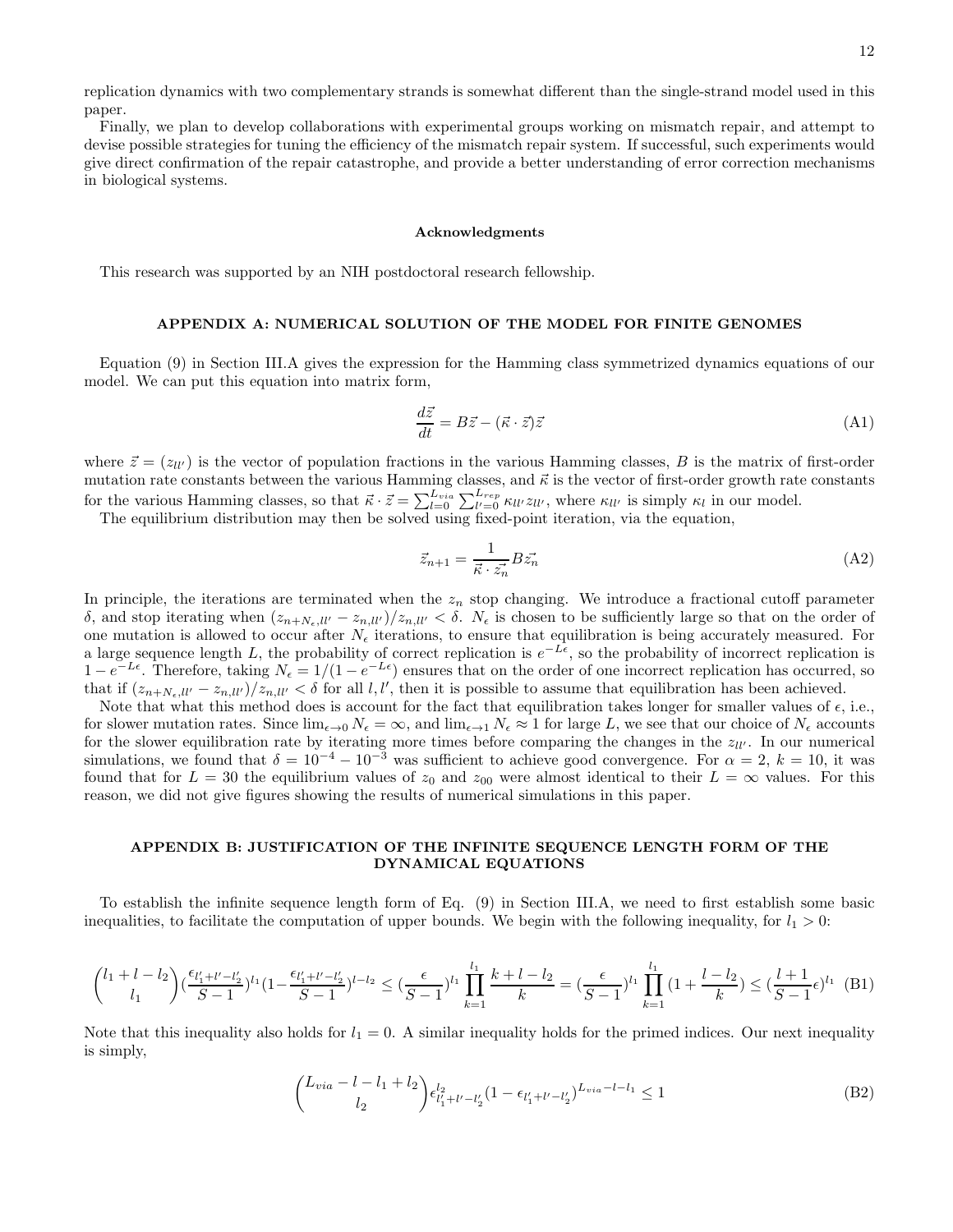replication dynamics with two complementary strands is somewhat different than the single-strand model used in this paper.

Finally, we plan to develop collaborations with experimental groups working on mismatch repair, and attempt to devise possible strategies for tuning the efficiency of the mismatch repair system. If successful, such experiments would give direct confirmation of the repair catastrophe, and provide a better understanding of error correction mechanisms in biological systems.

#### Acknowledgments

This research was supported by an NIH postdoctoral research fellowship.

#### APPENDIX A: NUMERICAL SOLUTION OF THE MODEL FOR FINITE GENOMES

Equation (9) in Section III.A gives the expression for the Hamming class symmetrized dynamics equations of our model. We can put this equation into matrix form,

$$
\frac{d\vec{z}}{dt} = B\vec{z} - (\vec{\kappa} \cdot \vec{z})\vec{z}
$$
 (A1)

where  $\vec{z} = (z_{ll'})$  is the vector of population fractions in the various Hamming classes, B is the matrix of first-order mutation rate constants between the various Hamming classes, and  $\vec{\kappa}$  is the vector of first-order growth rate constants for the various Hamming classes, so that  $\vec{\kappa} \cdot \vec{z} = \sum_{l=0}^{L_{via}} \sum_{l'=0}^{L_{rep}} \kappa_{ll'} z_{ll'}$ , where  $\kappa_{ll'}$  is simply  $\kappa_l$  in our model.

The equilibrium distribution may then be solved using fixed-point iteration, via the equation,

$$
\vec{z}_{n+1} = \frac{1}{\vec{\kappa} \cdot \vec{z_n}} B \vec{z_n} \tag{A2}
$$

In principle, the iterations are terminated when the  $z_n$  stop changing. We introduce a fractional cutoff parameter δ, and stop iterating when  $(z_{n+N_{\epsilon},ll'} - z_{nll'})/z_{nll'} < \delta$ .  $N_{\epsilon}$  is chosen to be sufficiently large so that on the order of one mutation is allowed to occur after  $N_{\epsilon}$  iterations, to ensure that equilibration is being accurately measured. For a large sequence length L, the probability of correct replication is  $e^{-L\epsilon}$ , so the probability of incorrect replication is 1 −  $e^{-L\epsilon}$ . Therefore, taking  $N_{\epsilon} = 1/(1 - e^{-L\epsilon})$  ensures that on the order of one incorrect replication has occurred, so that if  $(z_{n+N_{\epsilon},ll'} - z_{n,ll'})/z_{n,ll'} < \delta$  for all l, l', then it is possible to assume that equilibration has been achieved.

Note that what this method does is account for the fact that equilibration takes longer for smaller values of  $\epsilon$ , i.e., for slower mutation rates. Since  $\lim_{\epsilon \to 0} N_{\epsilon} = \infty$ , and  $\lim_{\epsilon \to 1} N_{\epsilon} \approx 1$  for large L, we see that our choice of  $N_{\epsilon}$  accounts for the slower equilibration rate by iterating more times before comparing the changes in the  $z_{ll'}$ . In our numerical simulations, we found that  $\delta = 10^{-4} - 10^{-3}$  was sufficient to achieve good convergence. For  $\alpha = 2$ ,  $k = 10$ , it was found that for  $L = 30$  the equilibrium values of  $z_0$  and  $z_{00}$  were almost identical to their  $L = \infty$  values. For this reason, we did not give figures showing the results of numerical simulations in this paper.

#### APPENDIX B: JUSTIFICATION OF THE INFINITE SEQUENCE LENGTH FORM OF THE DYNAMICAL EQUATIONS

To establish the infinite sequence length form of Eq. (9) in Section III.A, we need to first establish some basic inequalities, to facilitate the computation of upper bounds. We begin with the following inequality, for  $l_1 > 0$ :

$$
\binom{l_1 + l - l_2}{l_1} \left(\frac{\epsilon_{l'_1 + l' - l'_2}}{S - 1}\right)^{l_1} \left(1 - \frac{\epsilon_{l'_1 + l' - l'_2}}{S - 1}\right)^{l - l_2} \le \left(\frac{\epsilon}{S - 1}\right)^{l_1} \prod_{k = 1}^{l_1} \frac{k + l - l_2}{k} = \left(\frac{\epsilon}{S - 1}\right)^{l_1} \prod_{k = 1}^{l_1} \left(1 + \frac{l - l_2}{k}\right) \le \left(\frac{l + 1}{S - 1}\epsilon\right)^{l_1} (B1)
$$

Note that this inequality also holds for  $l_1 = 0$ . A similar inequality holds for the primed indices. Our next inequality is simply,

$$
\binom{L_{via} - l - l_1 + l_2}{l_2} \epsilon_{l'_1 + l' - l'_2}^{l_2} (1 - \epsilon_{l'_1 + l' - l'_2})^{L_{via} - l - l_1} \le 1
$$
\n(B2)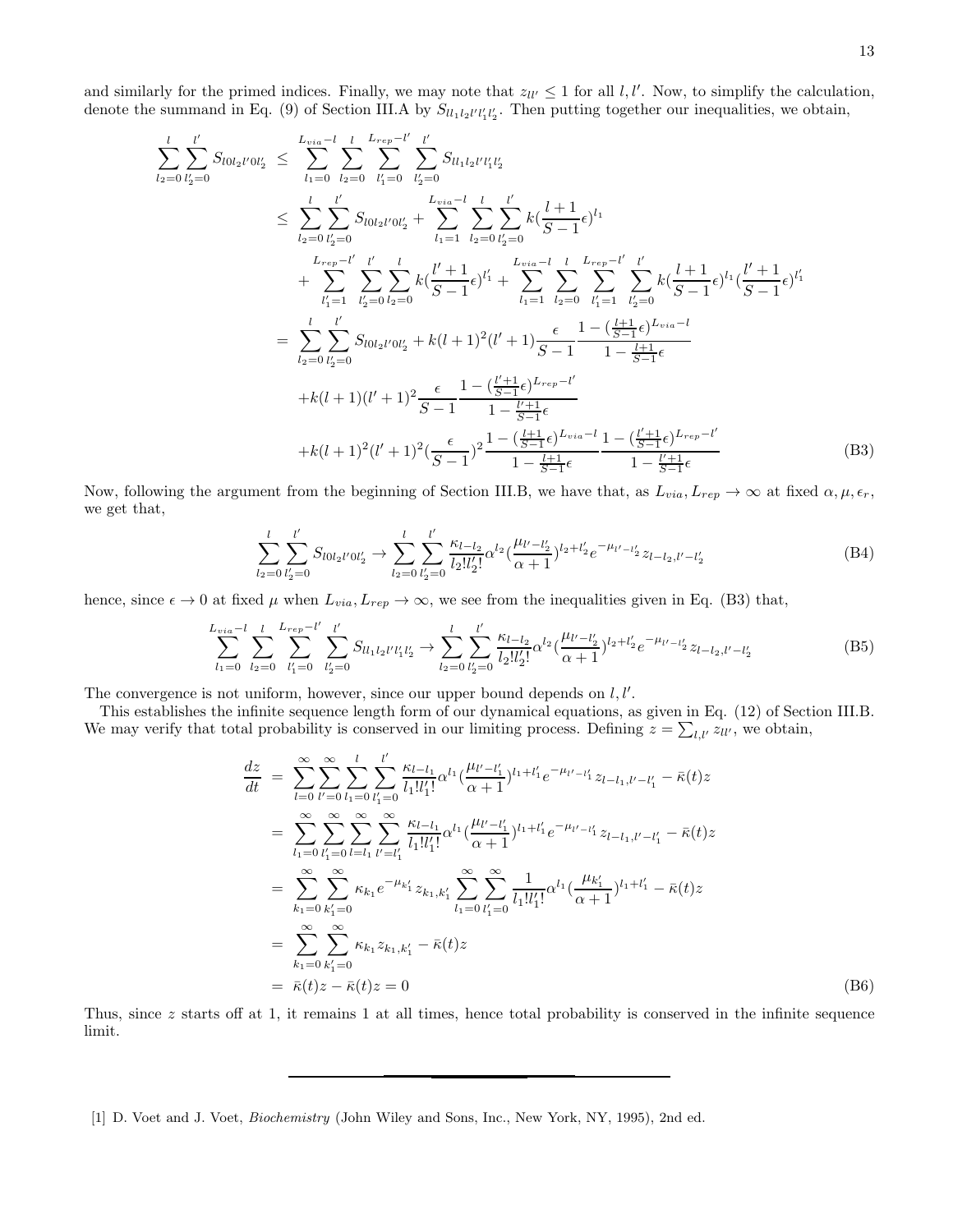and similarly for the primed indices. Finally, we may note that  $z_{ll'} \leq 1$  for all l, l'. Now, to simplify the calculation, denote the summand in Eq. (9) of Section III.A by  $S_{ll_1l_2l'l'_1l'_2}$ . Then putting together our inequalities, we obtain,

$$
\sum_{l_2=0}^{l} \sum_{l_2=0}^{l'} S_{l0l_2l'0l_2'} \leq \sum_{l_1=0}^{L_{via}-l} \sum_{l_2=0}^{L_{rep}-l'} \sum_{l_2=0}^{l'} S_{ll_1l_2l'l_1l_2'}
$$
\n
$$
\leq \sum_{l_2=0}^{l} \sum_{l_2=0}^{l'} S_{l0l_2l'0l_2'} + \sum_{l_1=1}^{L_{via}-l} \sum_{l_2=0}^{l'} \sum_{l_2=0}^{l'} k(\frac{l+1}{S-1}\epsilon)^{l_1}
$$
\n
$$
+ \sum_{l_1=1}^{L_{rep}-l'} \sum_{l_2=0}^{l'} \sum_{l_2=0}^{l'} k(\frac{l'+1}{S-1}\epsilon)^{l'_1} + \sum_{l_1=1}^{L_{via}-l} \sum_{l_2=0}^{l} \sum_{l_1=1}^{L_{rep}-l'} \sum_{l_2=0}^{l'} k(\frac{l+1}{S-1}\epsilon)^{l_1}(\frac{l'+1}{S-1}\epsilon)^{l'_1}
$$
\n
$$
= \sum_{l_2=0}^{l} \sum_{l_2=0}^{l'} S_{l0l_2l'0l_2'} + k(l+1)^2(l'+1) \frac{\epsilon}{S-1} \frac{1-(\frac{l+1}{S-1}\epsilon)^{L_{via}-l}}{1-\frac{l+1}{S-1}\epsilon}
$$
\n
$$
+ k(l+1)(l'+1)^2 \frac{\epsilon}{S-1} \frac{1-(\frac{l'+1}{S-1}\epsilon)^{L_{via}-l'}}{1-\frac{l'+1}{S-1}\epsilon}
$$
\n
$$
+ k(l+1)^2(l'+1)^2(\frac{\epsilon}{S-1})^2 \frac{1-(\frac{l+1}{S-1}\epsilon)^{L_{via}-l}}{1-\frac{l+1}{S-1}\epsilon} \frac{1-(\frac{l'+1}{S-1}\epsilon)^{L_{rep}-l'}}{1-\frac{l'+1}{S-1}\epsilon}
$$
\n(B3)

Now, following the argument from the beginning of Section III.B, we have that, as  $L_{via}, L_{rep} \to \infty$  at fixed  $\alpha, \mu, \epsilon_r$ , we get that,

$$
\sum_{l_2=0}^{l} \sum_{l'_2=0}^{l'} S_{l0l_2l'0l'_2} \rightarrow \sum_{l_2=0}^{l} \sum_{l'_2=0}^{l'} \frac{\kappa_{l-l_2}}{l_2!l'_2!} \alpha^{l_2} \left(\frac{\mu_{l'-l'_2}}{\alpha+1}\right)^{l_2+l'_2} e^{-\mu_{l'-l'_2}} z_{l-l_2,l'-l'_2}
$$
(B4)

hence, since  $\epsilon \to 0$  at fixed  $\mu$  when  $L_{via}, L_{rep} \to \infty$ , we see from the inequalities given in Eq. (B3) that,

$$
\sum_{l_1=0}^{L_{via}-l} \sum_{l_2=0}^{l} \sum_{l'_1=0}^{L_{rep}-l'} \sum_{l'_2=0}^{l'} S_{ll_1l_2l'l'_1l'_2} \rightarrow \sum_{l_2=0}^{l} \sum_{l'_2=0}^{l'} \frac{\kappa_{l-l_2}}{l_2!l'_2!} \alpha^{l_2} \left(\frac{\mu_{l'-l'_2}}{\alpha+1}\right)^{l_2+l'_2} e^{-\mu_{l'-l'_2}} z_{l-l_2,l'-l'_2}
$$
(B5)

The convergence is not uniform, however, since our upper bound depends on  $l, l'$ .

This establishes the infinite sequence length form of our dynamical equations, as given in Eq. (12) of Section III.B. We may verify that total probability is conserved in our limiting process. Defining  $z = \sum_{l,l'} z_{ll'}$ , we obtain,

$$
\frac{dz}{dt} = \sum_{l=0}^{\infty} \sum_{l'=0}^{\infty} \sum_{l_1=0}^{l} \sum_{l'_1=0}^{l'} \frac{\kappa_{l-l_1}}{l_1!l'_1!} \alpha^{l_1} \left(\frac{\mu_{l'-l'_1}}{\alpha+1}\right)^{l_1+l'_1} e^{-\mu_{l'-l'_1}} z_{l-l_1,l'-l'_1} - \bar{\kappa}(t) z
$$
\n
$$
= \sum_{l_1=0}^{\infty} \sum_{l'_1=0}^{\infty} \sum_{l=l_1}^{\infty} \sum_{l'=l'_1}^{\infty} \sum_{l'_1=l'_1}^{\infty} \frac{\kappa_{l-l_1}}{l_1!l'_1!} \alpha^{l_1} \left(\frac{\mu_{l'-l'_1}}{\alpha+1}\right)^{l_1+l'_1} e^{-\mu_{l'-l'_1}} z_{l-l_1,l'-l'_1} - \bar{\kappa}(t) z
$$
\n
$$
= \sum_{k_1=0}^{\infty} \sum_{k'_1=0}^{\infty} \kappa_{k_1} e^{-\mu_{k'_1}} z_{k_1,k'_1} \sum_{l_1=0}^{\infty} \sum_{l'_1=0}^{\infty} \frac{1}{l_1!l'_1!} \alpha^{l_1} \left(\frac{\mu_{k'_1}}{\alpha+1}\right)^{l_1+l'_1} - \bar{\kappa}(t) z
$$
\n
$$
= \sum_{k_1=0}^{\infty} \sum_{k'_1=0}^{\infty} \kappa_{k_1} z_{k_1,k'_1} - \bar{\kappa}(t) z
$$
\n
$$
= \bar{\kappa}(t) z - \bar{\kappa}(t) z = 0
$$
\n(B6)

Thus, since z starts off at 1, it remains 1 at all times, hence total probability is conserved in the infinite sequence limit.

<span id="page-13-0"></span>[1] D. Voet and J. Voet, Biochemistry (John Wiley and Sons, Inc., New York, NY, 1995), 2nd ed.